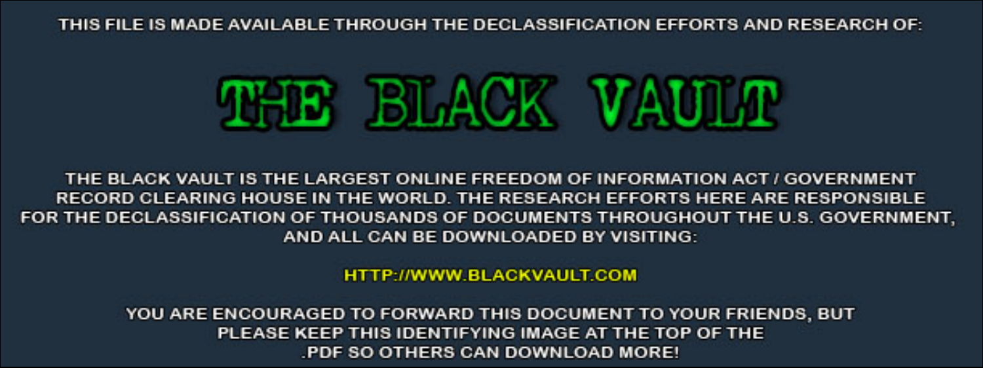THIS FILE IS MADE AVAILABLE THROUGH THE DECLASSIFICATION EFFORTS AND RESEARCH OF:



THE BLACK VAULT IS THE LARGEST ONLINE FREEDOM OF INFORMATION ACT / GOVERNMENT RECORD CLEARING HOUSE IN THE WORLD. THE RESEARCH EFFORTS HERE ARE RESPONSIBLE FOR THE DECLASSIFICATION OF THOUSANDS OF DOCUMENTS THROUGHOUT THE U.S. GOVERNMENT, AND ALL CAN BE DOWNLOADED BY VISITING:

**HTTP://WWW.BLACKVAULT.COM** 

YOU ARE ENCOURAGED TO FORWARD THIS DOCUMENT TO YOUR FRIENDS, BUT PLEASE KEEP THIS IDENTIFYING IMAGE AT THE TOP OF THE PDF SO OTHERS CAN DOWNLOAD MORE!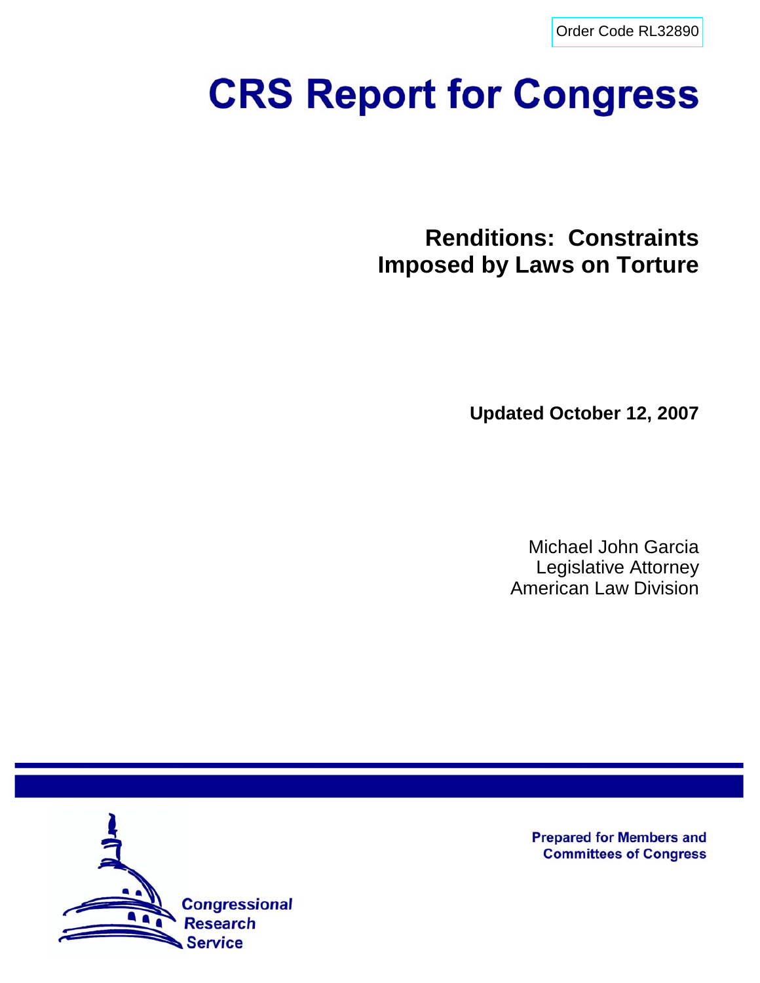[Order Code RL32890](http://www.fas.org/sgp/crs/natsec/index.html)

# **CRS Report for Congress**

**Renditions: Constraints Imposed by Laws on Torture**

**Updated October 12, 2007**

Michael John Garcia Legislative Attorney American Law Division



**Prepared for Members and Committees of Congress**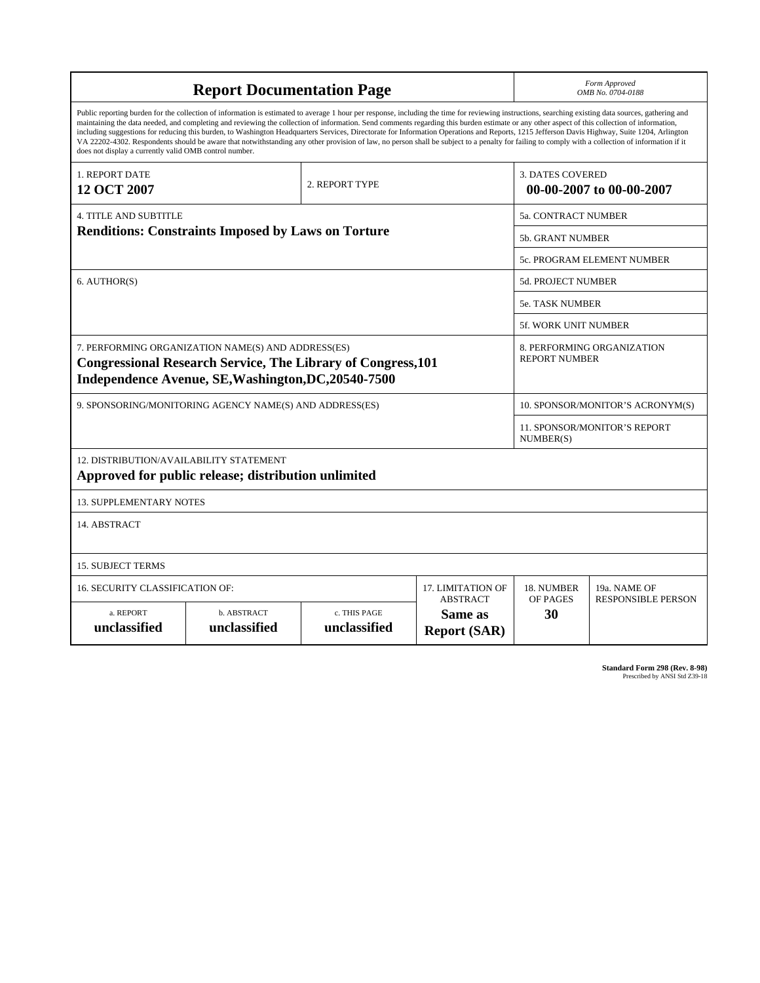| <b>Report Documentation Page</b>                                                                                                                                                                                                                                                                                                                                                                                                                                                                                                                                                                                                                                                                                                                                                                                                                                   |                                    |                              |                                                   | Form Approved<br>OMB No. 0704-0188                  |                           |  |
|--------------------------------------------------------------------------------------------------------------------------------------------------------------------------------------------------------------------------------------------------------------------------------------------------------------------------------------------------------------------------------------------------------------------------------------------------------------------------------------------------------------------------------------------------------------------------------------------------------------------------------------------------------------------------------------------------------------------------------------------------------------------------------------------------------------------------------------------------------------------|------------------------------------|------------------------------|---------------------------------------------------|-----------------------------------------------------|---------------------------|--|
| Public reporting burden for the collection of information is estimated to average 1 hour per response, including the time for reviewing instructions, searching existing data sources, gathering and<br>maintaining the data needed, and completing and reviewing the collection of information. Send comments regarding this burden estimate or any other aspect of this collection of information,<br>including suggestions for reducing this burden, to Washington Headquarters Services, Directorate for Information Operations and Reports, 1215 Jefferson Davis Highway, Suite 1204, Arlington<br>VA 22202-4302. Respondents should be aware that notwithstanding any other provision of law, no person shall be subject to a penalty for failing to comply with a collection of information if it<br>does not display a currently valid OMB control number. |                                    |                              |                                                   |                                                     |                           |  |
| 1. REPORT DATE<br>12 OCT 2007                                                                                                                                                                                                                                                                                                                                                                                                                                                                                                                                                                                                                                                                                                                                                                                                                                      |                                    | 2. REPORT TYPE               |                                                   | <b>3. DATES COVERED</b><br>00-00-2007 to 00-00-2007 |                           |  |
| <b>4. TITLE AND SUBTITLE</b>                                                                                                                                                                                                                                                                                                                                                                                                                                                                                                                                                                                                                                                                                                                                                                                                                                       |                                    |                              |                                                   | 5a. CONTRACT NUMBER                                 |                           |  |
| <b>Renditions: Constraints Imposed by Laws on Torture</b>                                                                                                                                                                                                                                                                                                                                                                                                                                                                                                                                                                                                                                                                                                                                                                                                          |                                    |                              |                                                   | 5b. GRANT NUMBER                                    |                           |  |
|                                                                                                                                                                                                                                                                                                                                                                                                                                                                                                                                                                                                                                                                                                                                                                                                                                                                    |                                    |                              |                                                   | <b>5c. PROGRAM ELEMENT NUMBER</b>                   |                           |  |
| 6. AUTHOR(S)                                                                                                                                                                                                                                                                                                                                                                                                                                                                                                                                                                                                                                                                                                                                                                                                                                                       |                                    |                              |                                                   | <b>5d. PROJECT NUMBER</b>                           |                           |  |
|                                                                                                                                                                                                                                                                                                                                                                                                                                                                                                                                                                                                                                                                                                                                                                                                                                                                    |                                    |                              |                                                   | 5e. TASK NUMBER                                     |                           |  |
|                                                                                                                                                                                                                                                                                                                                                                                                                                                                                                                                                                                                                                                                                                                                                                                                                                                                    |                                    |                              |                                                   | 5f. WORK UNIT NUMBER                                |                           |  |
| 7. PERFORMING ORGANIZATION NAME(S) AND ADDRESS(ES)<br><b>Congressional Research Service, The Library of Congress, 101</b><br>Independence Avenue, SE, Washington, DC, 20540-7500                                                                                                                                                                                                                                                                                                                                                                                                                                                                                                                                                                                                                                                                                   |                                    |                              |                                                   | 8. PERFORMING ORGANIZATION<br><b>REPORT NUMBER</b>  |                           |  |
| 9. SPONSORING/MONITORING AGENCY NAME(S) AND ADDRESS(ES)                                                                                                                                                                                                                                                                                                                                                                                                                                                                                                                                                                                                                                                                                                                                                                                                            |                                    |                              |                                                   | 10. SPONSOR/MONITOR'S ACRONYM(S)                    |                           |  |
|                                                                                                                                                                                                                                                                                                                                                                                                                                                                                                                                                                                                                                                                                                                                                                                                                                                                    |                                    |                              |                                                   | <b>11. SPONSOR/MONITOR'S REPORT</b><br>NUMBER(S)    |                           |  |
| 12. DISTRIBUTION/AVAILABILITY STATEMENT<br>Approved for public release; distribution unlimited                                                                                                                                                                                                                                                                                                                                                                                                                                                                                                                                                                                                                                                                                                                                                                     |                                    |                              |                                                   |                                                     |                           |  |
| <b>13. SUPPLEMENTARY NOTES</b>                                                                                                                                                                                                                                                                                                                                                                                                                                                                                                                                                                                                                                                                                                                                                                                                                                     |                                    |                              |                                                   |                                                     |                           |  |
| 14. ABSTRACT                                                                                                                                                                                                                                                                                                                                                                                                                                                                                                                                                                                                                                                                                                                                                                                                                                                       |                                    |                              |                                                   |                                                     |                           |  |
| <b>15. SUBJECT TERMS</b>                                                                                                                                                                                                                                                                                                                                                                                                                                                                                                                                                                                                                                                                                                                                                                                                                                           |                                    |                              |                                                   |                                                     |                           |  |
| 16. SECURITY CLASSIFICATION OF:                                                                                                                                                                                                                                                                                                                                                                                                                                                                                                                                                                                                                                                                                                                                                                                                                                    | 17. LIMITATION OF                  | 18. NUMBER                   | 19a. NAME OF                                      |                                                     |                           |  |
| a. REPORT<br>unclassified                                                                                                                                                                                                                                                                                                                                                                                                                                                                                                                                                                                                                                                                                                                                                                                                                                          | <b>b. ABSTRACT</b><br>unclassified | c. THIS PAGE<br>unclassified | <b>ABSTRACT</b><br>Same as<br><b>Report (SAR)</b> | OF PAGES<br>30                                      | <b>RESPONSIBLE PERSON</b> |  |

**Standard Form 298 (Rev. 8-98)**<br>Prescribed by ANSI Std Z39-18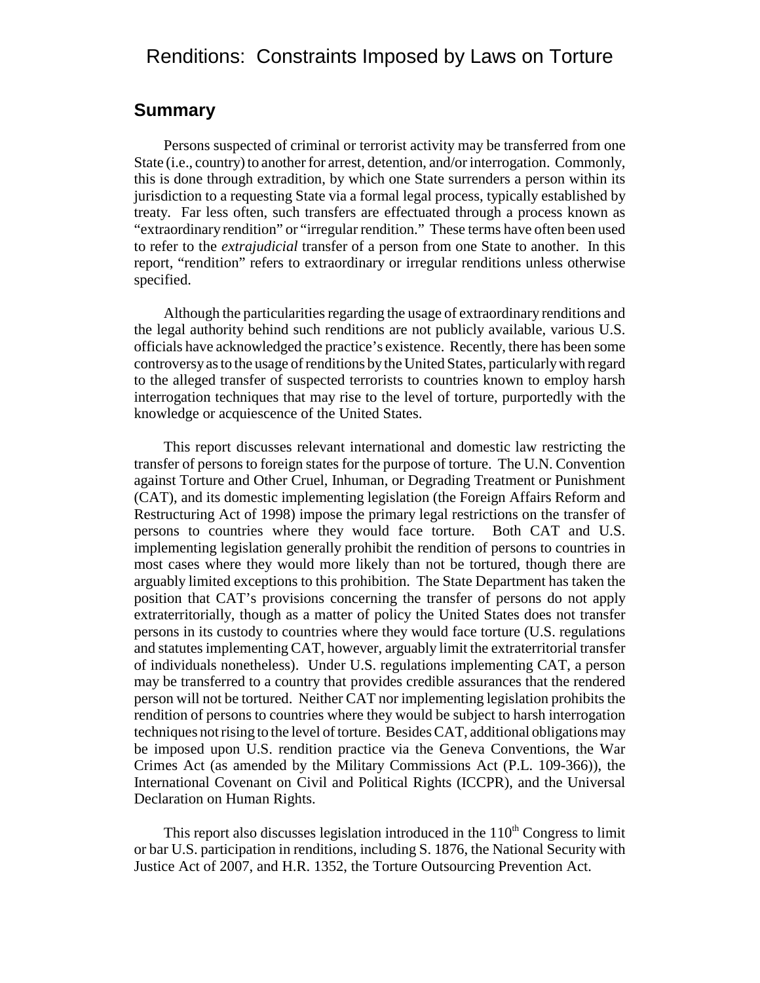## Renditions: Constraints Imposed by Laws on Torture

#### **Summary**

Persons suspected of criminal or terrorist activity may be transferred from one State (i.e., country) to another for arrest, detention, and/or interrogation. Commonly, this is done through extradition, by which one State surrenders a person within its jurisdiction to a requesting State via a formal legal process, typically established by treaty. Far less often, such transfers are effectuated through a process known as "extraordinary rendition" or "irregular rendition." These terms have often been used to refer to the *extrajudicial* transfer of a person from one State to another. In this report, "rendition" refers to extraordinary or irregular renditions unless otherwise specified.

Although the particularities regarding the usage of extraordinary renditions and the legal authority behind such renditions are not publicly available, various U.S. officials have acknowledged the practice's existence. Recently, there has been some controversy as to the usage of renditions by the United States, particularly with regard to the alleged transfer of suspected terrorists to countries known to employ harsh interrogation techniques that may rise to the level of torture, purportedly with the knowledge or acquiescence of the United States.

This report discusses relevant international and domestic law restricting the transfer of persons to foreign states for the purpose of torture. The U.N. Convention against Torture and Other Cruel, Inhuman, or Degrading Treatment or Punishment (CAT), and its domestic implementing legislation (the Foreign Affairs Reform and Restructuring Act of 1998) impose the primary legal restrictions on the transfer of persons to countries where they would face torture. Both CAT and U.S. implementing legislation generally prohibit the rendition of persons to countries in most cases where they would more likely than not be tortured, though there are arguably limited exceptions to this prohibition. The State Department has taken the position that CAT's provisions concerning the transfer of persons do not apply extraterritorially, though as a matter of policy the United States does not transfer persons in its custody to countries where they would face torture (U.S. regulations and statutes implementing CAT, however, arguably limit the extraterritorial transfer of individuals nonetheless). Under U.S. regulations implementing CAT, a person may be transferred to a country that provides credible assurances that the rendered person will not be tortured. Neither CAT nor implementing legislation prohibits the rendition of persons to countries where they would be subject to harsh interrogation techniques not rising to the level of torture. Besides CAT, additional obligations may be imposed upon U.S. rendition practice via the Geneva Conventions, the War Crimes Act (as amended by the Military Commissions Act (P.L. 109-366)), the International Covenant on Civil and Political Rights (ICCPR), and the Universal Declaration on Human Rights.

This report also discusses legislation introduced in the  $110<sup>th</sup>$  Congress to limit or bar U.S. participation in renditions, including S. 1876, the National Security with Justice Act of 2007, and H.R. 1352, the Torture Outsourcing Prevention Act.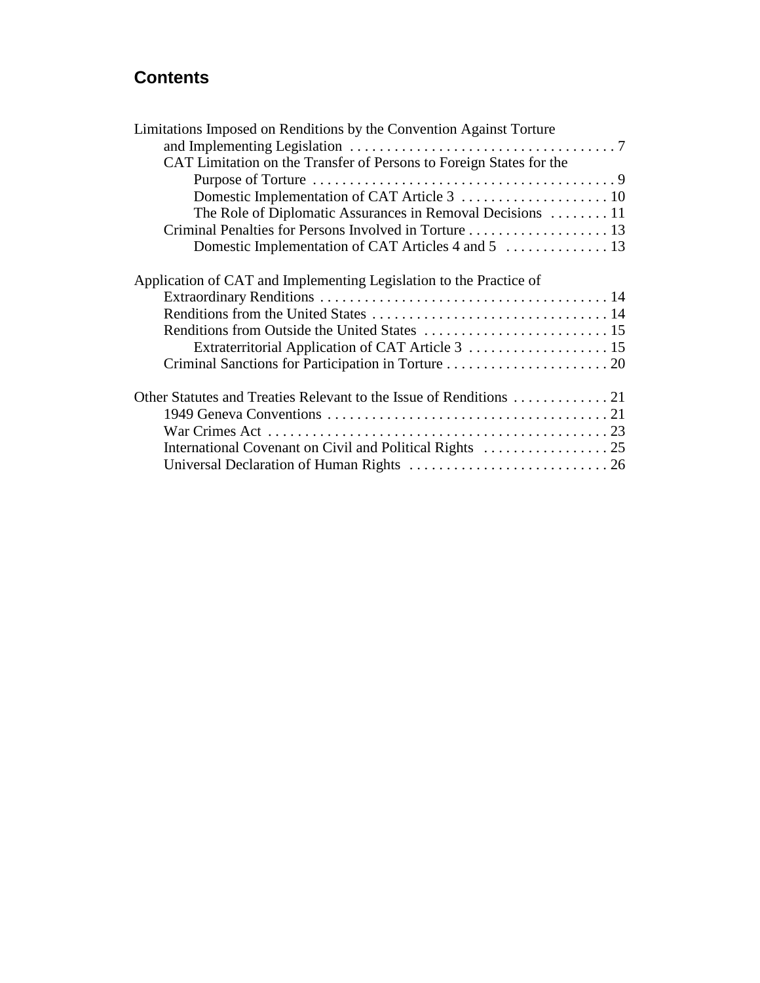## **Contents**

| Limitations Imposed on Renditions by the Convention Against Torture |  |
|---------------------------------------------------------------------|--|
|                                                                     |  |
| CAT Limitation on the Transfer of Persons to Foreign States for the |  |
|                                                                     |  |
|                                                                     |  |
| The Role of Diplomatic Assurances in Removal Decisions 11           |  |
|                                                                     |  |
|                                                                     |  |
| Application of CAT and Implementing Legislation to the Practice of  |  |
|                                                                     |  |
|                                                                     |  |
|                                                                     |  |
|                                                                     |  |
|                                                                     |  |
|                                                                     |  |
|                                                                     |  |
|                                                                     |  |
|                                                                     |  |
|                                                                     |  |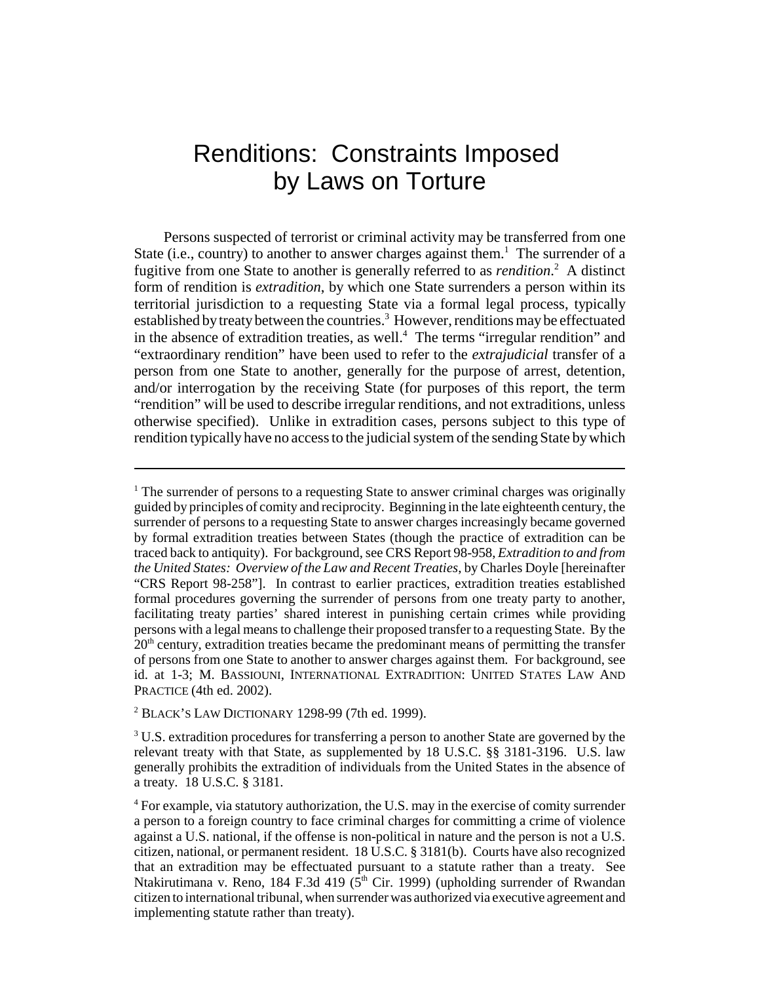# Renditions: Constraints Imposed by Laws on Torture

Persons suspected of terrorist or criminal activity may be transferred from one State (i.e., country) to another to answer charges against them.<sup>1</sup> The surrender of a fugitive from one State to another is generally referred to as *rendition*. 2 A distinct form of rendition is *extradition*, by which one State surrenders a person within its territorial jurisdiction to a requesting State via a formal legal process, typically established by treaty between the countries.<sup>3</sup> However, renditions may be effectuated in the absence of extradition treaties, as well.<sup>4</sup> The terms "irregular rendition" and "extraordinary rendition" have been used to refer to the *extrajudicial* transfer of a person from one State to another, generally for the purpose of arrest, detention, and/or interrogation by the receiving State (for purposes of this report, the term "rendition" will be used to describe irregular renditions, and not extraditions, unless otherwise specified). Unlike in extradition cases, persons subject to this type of rendition typically have no access to the judicial system of the sending State by which

 $2$  BLACK'S LAW DICTIONARY 1298-99 (7th ed. 1999).

<sup>&</sup>lt;sup>1</sup> The surrender of persons to a requesting State to answer criminal charges was originally guided by principles of comity and reciprocity. Beginning in the late eighteenth century, the surrender of persons to a requesting State to answer charges increasingly became governed by formal extradition treaties between States (though the practice of extradition can be traced back to antiquity). For background, see CRS Report 98-958, *Extradition to and from the United States: Overview of the Law and Recent Treaties*, by Charles Doyle [hereinafter "CRS Report 98-258"]. In contrast to earlier practices, extradition treaties established formal procedures governing the surrender of persons from one treaty party to another, facilitating treaty parties' shared interest in punishing certain crimes while providing persons with a legal means to challenge their proposed transfer to a requesting State. By the  $20<sup>th</sup>$  century, extradition treaties became the predominant means of permitting the transfer of persons from one State to another to answer charges against them. For background, see id. at 1-3; M. BASSIOUNI, INTERNATIONAL EXTRADITION: UNITED STATES LAW AND PRACTICE (4th ed. 2002).

 $3$  U.S. extradition procedures for transferring a person to another State are governed by the relevant treaty with that State, as supplemented by 18 U.S.C. §§ 3181-3196. U.S. law generally prohibits the extradition of individuals from the United States in the absence of a treaty. 18 U.S.C. § 3181.

<sup>&</sup>lt;sup>4</sup> For example, via statutory authorization, the U.S. may in the exercise of comity surrender a person to a foreign country to face criminal charges for committing a crime of violence against a U.S. national, if the offense is non-political in nature and the person is not a U.S. citizen, national, or permanent resident. 18 U.S.C. § 3181(b). Courts have also recognized that an extradition may be effectuated pursuant to a statute rather than a treaty. See Ntakirutimana v. Reno, 184 F.3d 419 ( $5<sup>th</sup>$  Cir. 1999) (upholding surrender of Rwandan citizen to international tribunal, when surrender was authorized via executive agreement and implementing statute rather than treaty).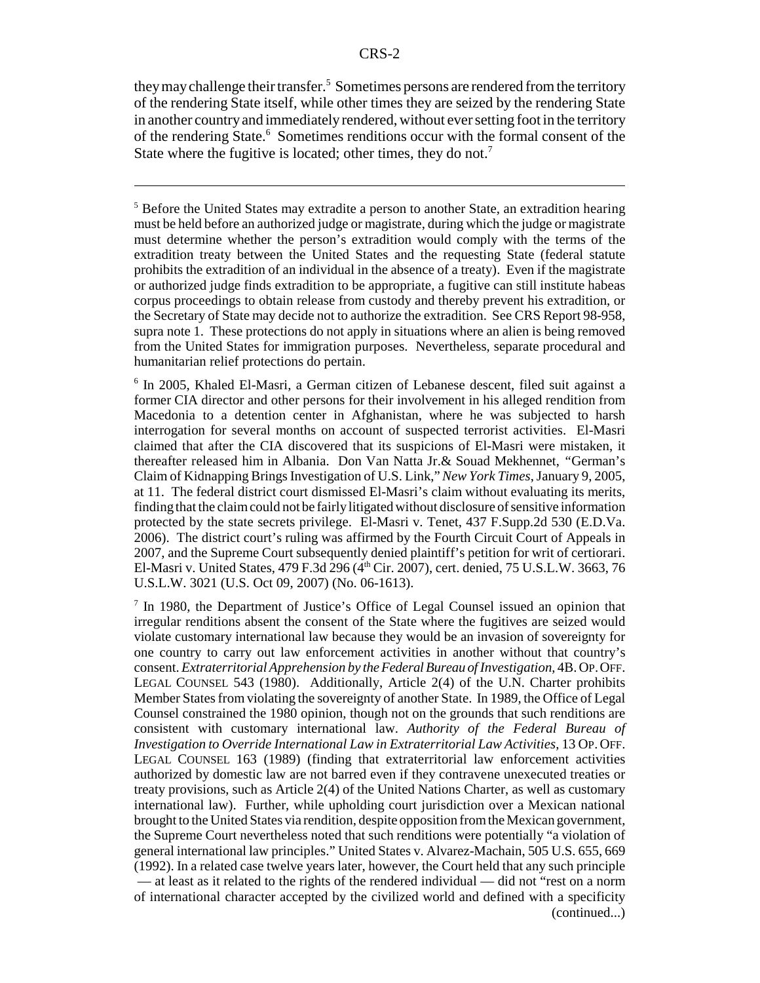they may challenge their transfer.<sup>5</sup> Sometimes persons are rendered from the territory of the rendering State itself, while other times they are seized by the rendering State in another country and immediately rendered, without ever setting foot in the territory of the rendering State.<sup>6</sup> Sometimes renditions occur with the formal consent of the State where the fugitive is located; other times, they do not.<sup>7</sup>

<sup>5</sup> Before the United States may extradite a person to another State, an extradition hearing must be held before an authorized judge or magistrate, during which the judge or magistrate must determine whether the person's extradition would comply with the terms of the extradition treaty between the United States and the requesting State (federal statute prohibits the extradition of an individual in the absence of a treaty). Even if the magistrate or authorized judge finds extradition to be appropriate, a fugitive can still institute habeas corpus proceedings to obtain release from custody and thereby prevent his extradition, or the Secretary of State may decide not to authorize the extradition. See CRS Report 98-958, supra note 1. These protections do not apply in situations where an alien is being removed from the United States for immigration purposes. Nevertheless, separate procedural and humanitarian relief protections do pertain.

6 In 2005, Khaled El-Masri, a German citizen of Lebanese descent, filed suit against a former CIA director and other persons for their involvement in his alleged rendition from Macedonia to a detention center in Afghanistan, where he was subjected to harsh interrogation for several months on account of suspected terrorist activities. El-Masri claimed that after the CIA discovered that its suspicions of El-Masri were mistaken, it thereafter released him in Albania. Don Van Natta Jr.& Souad Mekhennet, *"*German's Claim of Kidnapping Brings Investigation of U.S. Link,"*New York Times*, January 9, 2005, at 11. The federal district court dismissed El-Masri's claim without evaluating its merits, finding that the claim could not be fairly litigated without disclosure of sensitive information protected by the state secrets privilege. El-Masri v. Tenet, 437 F.Supp.2d 530 (E.D.Va. 2006). The district court's ruling was affirmed by the Fourth Circuit Court of Appeals in 2007, and the Supreme Court subsequently denied plaintiff's petition for writ of certiorari. El-Masri v. United States, 479 F.3d 296 (4<sup>th</sup> Cir. 2007), cert. denied, 75 U.S.L.W. 3663, 76 U.S.L.W. 3021 (U.S. Oct 09, 2007) (No. 06-1613).

<sup>7</sup> In 1980, the Department of Justice's Office of Legal Counsel issued an opinion that irregular renditions absent the consent of the State where the fugitives are seized would violate customary international law because they would be an invasion of sovereignty for one country to carry out law enforcement activities in another without that country's consent. *Extraterritorial Apprehension by the Federal Bureau of Investigation*, 4B. OP.OFF. LEGAL COUNSEL 543 (1980). Additionally, Article 2(4) of the U.N. Charter prohibits Member States from violating the sovereignty of another State. In 1989, the Office of Legal Counsel constrained the 1980 opinion, though not on the grounds that such renditions are consistent with customary international law. *Authority of the Federal Bureau of Investigation to Override International Law in Extraterritorial Law Activities*, 13 OP. OFF. LEGAL COUNSEL 163 (1989) (finding that extraterritorial law enforcement activities authorized by domestic law are not barred even if they contravene unexecuted treaties or treaty provisions, such as Article 2(4) of the United Nations Charter, as well as customary international law). Further, while upholding court jurisdiction over a Mexican national brought to the United States via rendition, despite opposition from the Mexican government, the Supreme Court nevertheless noted that such renditions were potentially "a violation of general international law principles." United States v. Alvarez-Machain, 505 U.S. 655, 669 (1992). In a related case twelve years later, however, the Court held that any such principle — at least as it related to the rights of the rendered individual — did not "rest on a norm of international character accepted by the civilized world and defined with a specificity (continued...)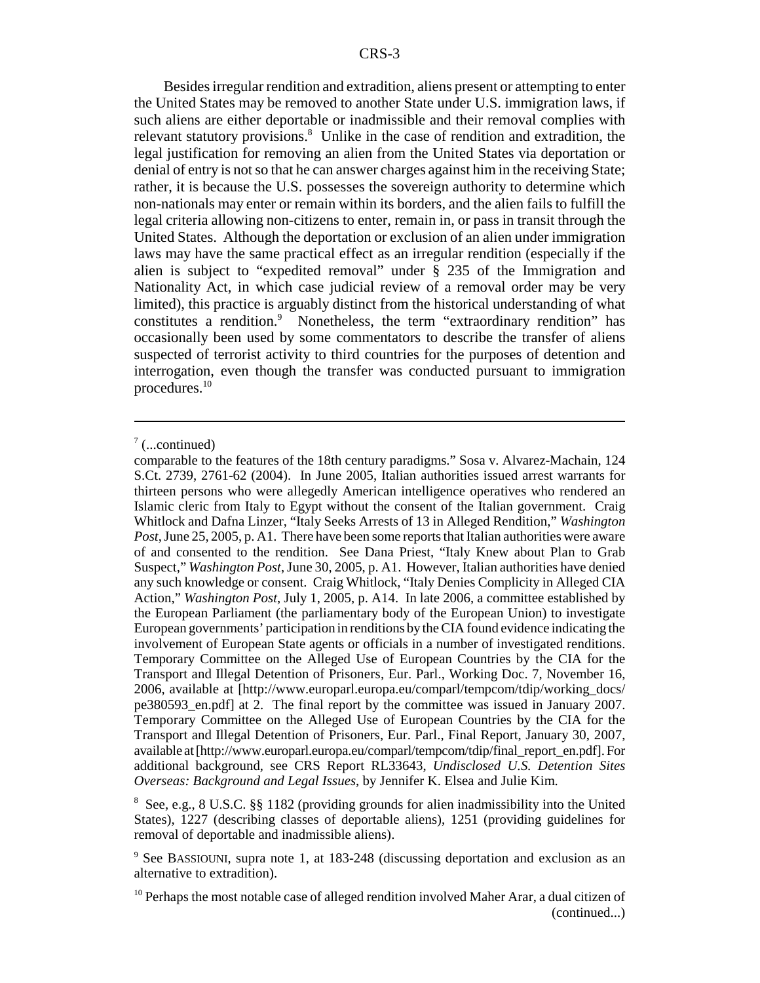Besides irregular rendition and extradition, aliens present or attempting to enter the United States may be removed to another State under U.S. immigration laws, if such aliens are either deportable or inadmissible and their removal complies with relevant statutory provisions.<sup>8</sup> Unlike in the case of rendition and extradition, the legal justification for removing an alien from the United States via deportation or denial of entry is not so that he can answer charges against him in the receiving State; rather, it is because the U.S. possesses the sovereign authority to determine which non-nationals may enter or remain within its borders, and the alien fails to fulfill the legal criteria allowing non-citizens to enter, remain in, or pass in transit through the United States. Although the deportation or exclusion of an alien under immigration laws may have the same practical effect as an irregular rendition (especially if the alien is subject to "expedited removal" under § 235 of the Immigration and Nationality Act, in which case judicial review of a removal order may be very limited), this practice is arguably distinct from the historical understanding of what constitutes a rendition.<sup>9</sup> Nonetheless, the term "extraordinary rendition" has occasionally been used by some commentators to describe the transfer of aliens suspected of terrorist activity to third countries for the purposes of detention and interrogation, even though the transfer was conducted pursuant to immigration procedures.10

8 See, e.g., 8 U.S.C. §§ 1182 (providing grounds for alien inadmissibility into the United States), 1227 (describing classes of deportable aliens), 1251 (providing guidelines for removal of deportable and inadmissible aliens).

 $7$  (...continued)

comparable to the features of the 18th century paradigms." Sosa v. Alvarez-Machain, 124 S.Ct. 2739, 2761-62 (2004). In June 2005, Italian authorities issued arrest warrants for thirteen persons who were allegedly American intelligence operatives who rendered an Islamic cleric from Italy to Egypt without the consent of the Italian government. Craig Whitlock and Dafna Linzer, "Italy Seeks Arrests of 13 in Alleged Rendition," *Washington Post*, June 25, 2005, p. A1. There have been some reports that Italian authorities were aware of and consented to the rendition. See Dana Priest, "Italy Knew about Plan to Grab Suspect," *Washington Post*, June 30, 2005, p. A1. However, Italian authorities have denied any such knowledge or consent. Craig Whitlock, "Italy Denies Complicity in Alleged CIA Action," *Washington Post*, July 1, 2005, p. A14. In late 2006, a committee established by the European Parliament (the parliamentary body of the European Union) to investigate European governments' participation in renditions by the CIA found evidence indicating the involvement of European State agents or officials in a number of investigated renditions. Temporary Committee on the Alleged Use of European Countries by the CIA for the Transport and Illegal Detention of Prisoners, Eur. Parl., Working Doc. 7, November 16, 2006, available at [http://www.europarl.europa.eu/comparl/tempcom/tdip/working\_docs/ pe380593\_en.pdf] at 2. The final report by the committee was issued in January 2007. Temporary Committee on the Alleged Use of European Countries by the CIA for the Transport and Illegal Detention of Prisoners, Eur. Parl., Final Report, January 30, 2007, available at [http://www.europarl.europa.eu/comparl/tempcom/tdip/final\_report\_en.pdf]. For additional background, see CRS Report RL33643, *Undisclosed U.S. Detention Sites Overseas: Background and Legal Issues*, by Jennifer K. Elsea and Julie Kim.

<sup>&</sup>lt;sup>9</sup> See BASSIOUNI, supra note 1, at 183-248 (discussing deportation and exclusion as an alternative to extradition).

<sup>&</sup>lt;sup>10</sup> Perhaps the most notable case of alleged rendition involved Maher Arar, a dual citizen of (continued...)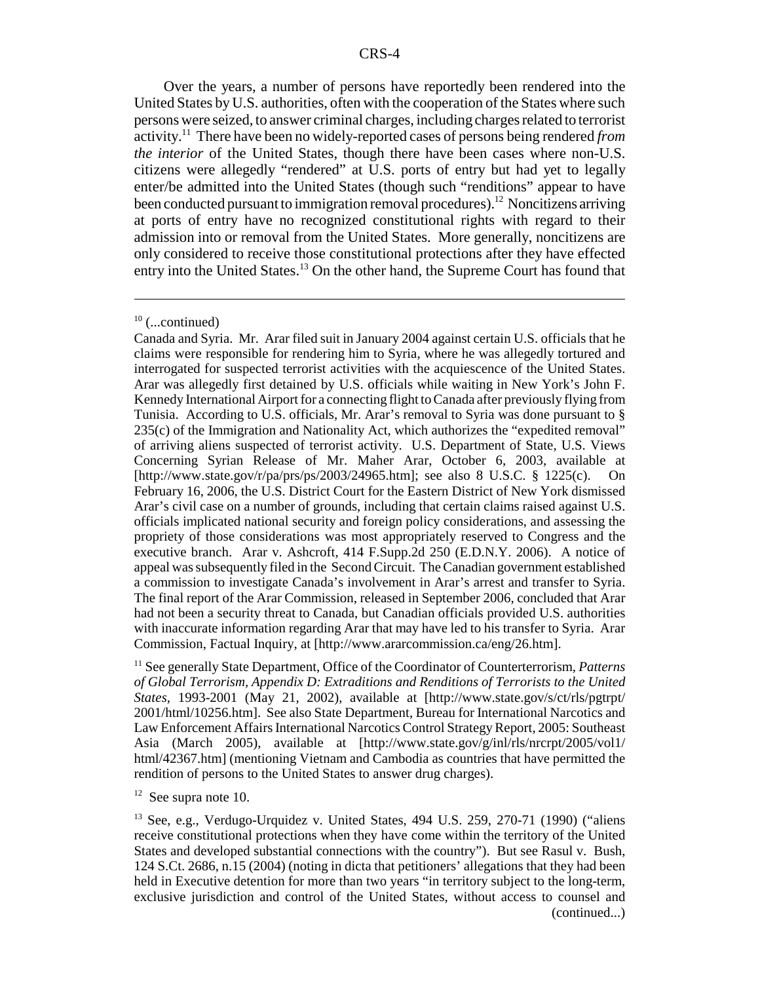Over the years, a number of persons have reportedly been rendered into the United States by U.S. authorities, often with the cooperation of the States where such persons were seized, to answer criminal charges, including charges related to terrorist activity.11 There have been no widely-reported cases of persons being rendered *from the interior* of the United States, though there have been cases where non-U.S. citizens were allegedly "rendered" at U.S. ports of entry but had yet to legally enter/be admitted into the United States (though such "renditions" appear to have been conducted pursuant to immigration removal procedures).<sup>12</sup> Noncitizens arriving at ports of entry have no recognized constitutional rights with regard to their admission into or removal from the United States. More generally, noncitizens are only considered to receive those constitutional protections after they have effected entry into the United States.<sup>13</sup> On the other hand, the Supreme Court has found that

11 See generally State Department, Office of the Coordinator of Counterterrorism, *Patterns of Global Terrorism, Appendix D: Extraditions and Renditions of Terrorists to the United States*, 1993-2001 (May 21, 2002), available at [http://www.state.gov/s/ct/rls/pgtrpt/ 2001/html/10256.htm]. See also State Department, Bureau for International Narcotics and Law Enforcement Affairs International Narcotics Control Strategy Report, 2005: Southeast Asia (March 2005), available at [http://www.state.gov/g/inl/rls/nrcrpt/2005/vol1/ html/42367.htm] (mentioning Vietnam and Cambodia as countries that have permitted the rendition of persons to the United States to answer drug charges).

 $12$  See supra note 10.

 $13$  See, e.g., Verdugo-Urquidez v. United States, 494 U.S. 259, 270-71 (1990) ("aliens receive constitutional protections when they have come within the territory of the United States and developed substantial connections with the country"). But see Rasul v. Bush, 124 S.Ct. 2686, n.15 (2004) (noting in dicta that petitioners' allegations that they had been held in Executive detention for more than two years "in territory subject to the long-term, exclusive jurisdiction and control of the United States, without access to counsel and (continued...)

 $10$  (...continued)

Canada and Syria. Mr. Arar filed suit in January 2004 against certain U.S. officials that he claims were responsible for rendering him to Syria, where he was allegedly tortured and interrogated for suspected terrorist activities with the acquiescence of the United States. Arar was allegedly first detained by U.S. officials while waiting in New York's John F. Kennedy International Airport for a connecting flight to Canada after previously flying from Tunisia. According to U.S. officials, Mr. Arar's removal to Syria was done pursuant to § 235(c) of the Immigration and Nationality Act, which authorizes the "expedited removal" of arriving aliens suspected of terrorist activity. U.S. Department of State, U.S. Views Concerning Syrian Release of Mr. Maher Arar, October 6, 2003, available at [http://www.state.gov/r/pa/prs/ps/2003/24965.htm]; see also 8 U.S.C. § 1225(c). On February 16, 2006, the U.S. District Court for the Eastern District of New York dismissed Arar's civil case on a number of grounds, including that certain claims raised against U.S. officials implicated national security and foreign policy considerations, and assessing the propriety of those considerations was most appropriately reserved to Congress and the executive branch. Arar v. Ashcroft, 414 F.Supp.2d 250 (E.D.N.Y. 2006). A notice of appeal was subsequently filed in the Second Circuit. The Canadian government established a commission to investigate Canada's involvement in Arar's arrest and transfer to Syria. The final report of the Arar Commission, released in September 2006, concluded that Arar had not been a security threat to Canada, but Canadian officials provided U.S. authorities with inaccurate information regarding Arar that may have led to his transfer to Syria. Arar Commission, Factual Inquiry, at [http://www.ararcommission.ca/eng/26.htm].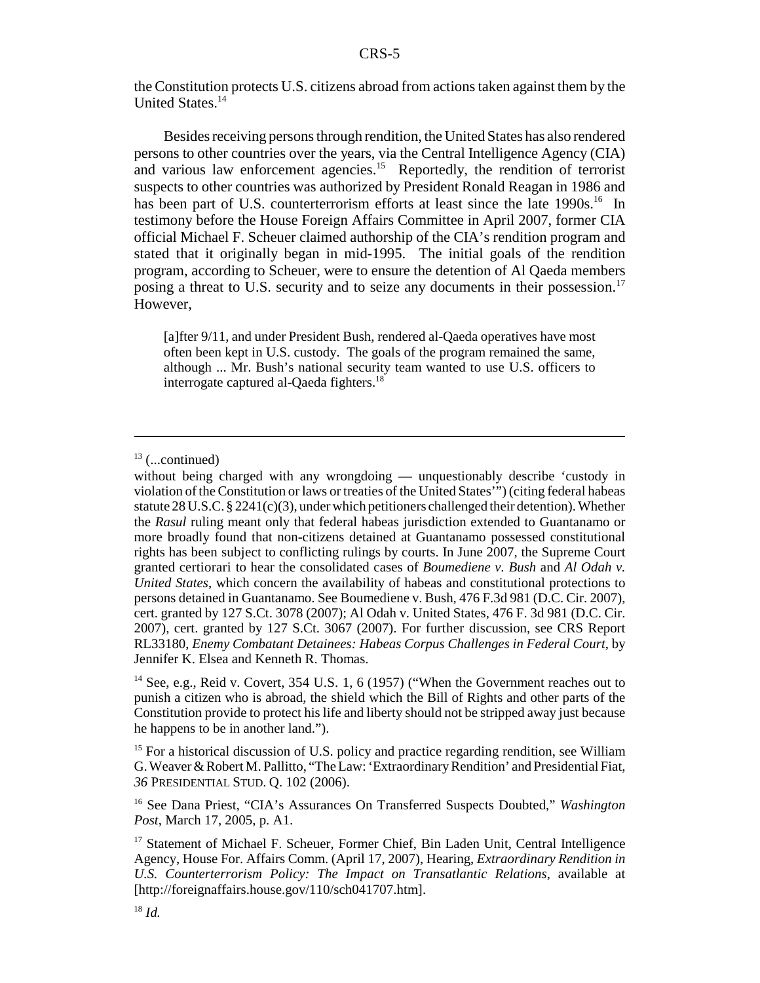the Constitution protects U.S. citizens abroad from actions taken against them by the United States.<sup>14</sup>

Besides receiving persons through rendition, the United States has also rendered persons to other countries over the years, via the Central Intelligence Agency (CIA) and various law enforcement agencies.<sup>15</sup> Reportedly, the rendition of terrorist suspects to other countries was authorized by President Ronald Reagan in 1986 and has been part of U.S. counterterrorism efforts at least since the late  $1990s<sup>16</sup>$  In testimony before the House Foreign Affairs Committee in April 2007, former CIA official Michael F. Scheuer claimed authorship of the CIA's rendition program and stated that it originally began in mid-1995. The initial goals of the rendition program, according to Scheuer, were to ensure the detention of Al Qaeda members posing a threat to U.S. security and to seize any documents in their possession.<sup>17</sup> However,

[a]fter 9/11, and under President Bush, rendered al-Qaeda operatives have most often been kept in U.S. custody. The goals of the program remained the same, although ... Mr. Bush's national security team wanted to use U.S. officers to interrogate captured al-Qaeda fighters.<sup>18</sup>

 $13$  (...continued)

without being charged with any wrongdoing — unquestionably describe 'custody in violation of the Constitution or laws or treaties of the United States'") (citing federal habeas statute 28 U.S.C. § 2241(c)(3), under which petitioners challenged their detention). Whether the *Rasul* ruling meant only that federal habeas jurisdiction extended to Guantanamo or more broadly found that non-citizens detained at Guantanamo possessed constitutional rights has been subject to conflicting rulings by courts. In June 2007, the Supreme Court granted certiorari to hear the consolidated cases of *Boumediene v. Bush* and *Al Odah v. United States*, which concern the availability of habeas and constitutional protections to persons detained in Guantanamo. See Boumediene v. Bush, 476 F.3d 981 (D.C. Cir. 2007), cert. granted by 127 S.Ct. 3078 (2007); Al Odah v. United States, 476 F. 3d 981 (D.C. Cir. 2007), cert. granted by 127 S.Ct. 3067 (2007). For further discussion, see CRS Report RL33180, *Enemy Combatant Detainees: Habeas Corpus Challenges in Federal Court*, by Jennifer K. Elsea and Kenneth R. Thomas.

<sup>&</sup>lt;sup>14</sup> See, e.g., Reid v. Covert, 354 U.S. 1, 6 (1957) ("When the Government reaches out to punish a citizen who is abroad, the shield which the Bill of Rights and other parts of the Constitution provide to protect his life and liberty should not be stripped away just because he happens to be in another land.").

<sup>&</sup>lt;sup>15</sup> For a historical discussion of U.S. policy and practice regarding rendition, see William G. Weaver & Robert M. Pallitto, "The Law: 'Extraordinary Rendition' and Presidential Fiat, *36* PRESIDENTIAL STUD. Q. 102 (2006).

<sup>16</sup> See Dana Priest, "CIA's Assurances On Transferred Suspects Doubted," *Washington Post*, March 17, 2005, p. A1.

<sup>&</sup>lt;sup>17</sup> Statement of Michael F. Scheuer, Former Chief, Bin Laden Unit, Central Intelligence Agency, House For. Affairs Comm. (April 17, 2007), Hearing, *Extraordinary Rendition in U.S. Counterterrorism Policy: The Impact on Transatlantic Relations*, available at [http://foreignaffairs.house.gov/110/sch041707.htm].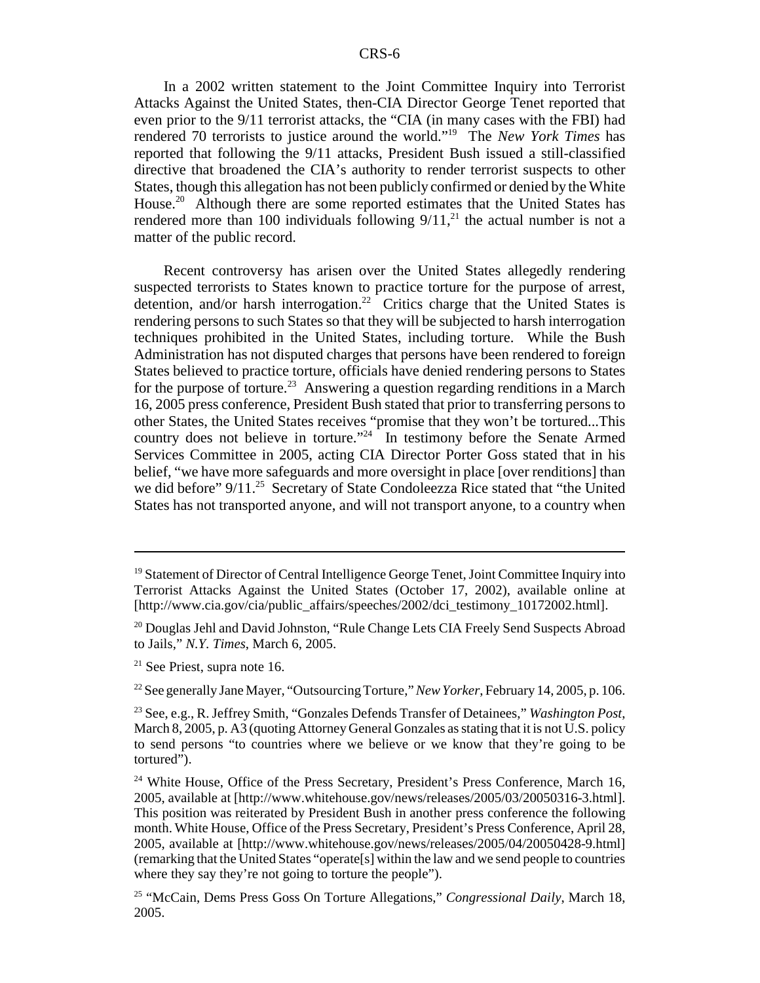In a 2002 written statement to the Joint Committee Inquiry into Terrorist Attacks Against the United States, then-CIA Director George Tenet reported that even prior to the 9/11 terrorist attacks, the "CIA (in many cases with the FBI) had rendered 70 terrorists to justice around the world."19 The *New York Times* has reported that following the 9/11 attacks, President Bush issued a still-classified directive that broadened the CIA's authority to render terrorist suspects to other States, though this allegation has not been publicly confirmed or denied by the White House.<sup>20</sup> Although there are some reported estimates that the United States has rendered more than 100 individuals following  $9/11$ ,<sup>21</sup> the actual number is not a matter of the public record.

Recent controversy has arisen over the United States allegedly rendering suspected terrorists to States known to practice torture for the purpose of arrest, detention, and/or harsh interrogation.<sup>22</sup> Critics charge that the United States is rendering persons to such States so that they will be subjected to harsh interrogation techniques prohibited in the United States, including torture. While the Bush Administration has not disputed charges that persons have been rendered to foreign States believed to practice torture, officials have denied rendering persons to States for the purpose of torture.<sup>23</sup> Answering a question regarding renditions in a March 16, 2005 press conference, President Bush stated that prior to transferring persons to other States, the United States receives "promise that they won't be tortured...This country does not believe in torture."<sup>24</sup> In testimony before the Senate Armed Services Committee in 2005, acting CIA Director Porter Goss stated that in his belief, "we have more safeguards and more oversight in place [over renditions] than we did before" 9/11.<sup>25</sup> Secretary of State Condoleezza Rice stated that "the United" States has not transported anyone, and will not transport anyone, to a country when

22 See generally Jane Mayer, "Outsourcing Torture," *New Yorker*, February 14, 2005, p. 106.

<sup>&</sup>lt;sup>19</sup> Statement of Director of Central Intelligence George Tenet, Joint Committee Inquiry into Terrorist Attacks Against the United States (October 17, 2002), available online at [http://www.cia.gov/cia/public\_affairs/speeches/2002/dci\_testimony\_10172002.html].

<sup>&</sup>lt;sup>20</sup> Douglas Jehl and David Johnston, "Rule Change Lets CIA Freely Send Suspects Abroad to Jails," *N.Y. Times*, March 6, 2005.

 $21$  See Priest, supra note 16.

<sup>23</sup> See, e.g., R. Jeffrey Smith, "Gonzales Defends Transfer of Detainees," *Washington Post*, March 8, 2005, p. A3 (quoting Attorney General Gonzales as stating that it is not U.S. policy to send persons "to countries where we believe or we know that they're going to be tortured").

<sup>&</sup>lt;sup>24</sup> White House, Office of the Press Secretary, President's Press Conference, March 16, 2005, available at [http://www.whitehouse.gov/news/releases/2005/03/20050316-3.html]. This position was reiterated by President Bush in another press conference the following month. White House, Office of the Press Secretary, President's Press Conference, April 28, 2005, available at [http://www.whitehouse.gov/news/releases/2005/04/20050428-9.html] (remarking that the United States "operate[s] within the law and we send people to countries where they say they're not going to torture the people").

<sup>25 &</sup>quot;McCain, Dems Press Goss On Torture Allegations," *Congressional Daily*, March 18, 2005.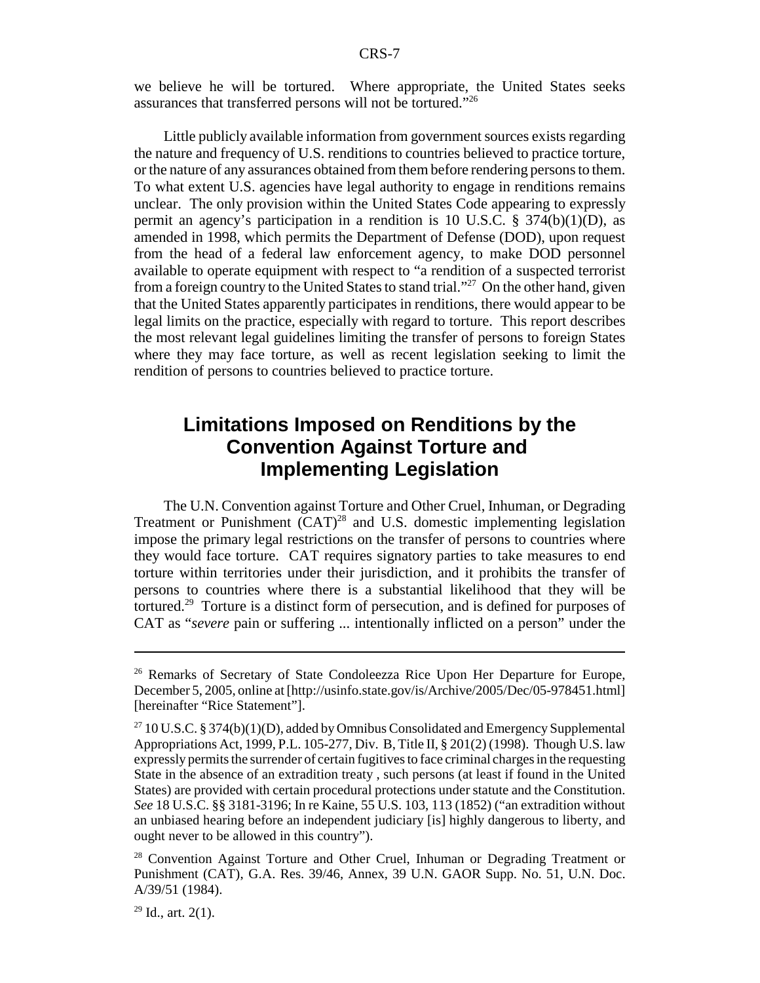we believe he will be tortured. Where appropriate, the United States seeks assurances that transferred persons will not be tortured."26

Little publicly available information from government sources exists regarding the nature and frequency of U.S. renditions to countries believed to practice torture, or the nature of any assurances obtained from them before rendering persons to them. To what extent U.S. agencies have legal authority to engage in renditions remains unclear. The only provision within the United States Code appearing to expressly permit an agency's participation in a rendition is 10 U.S.C.  $\S$  374(b)(1)(D), as amended in 1998, which permits the Department of Defense (DOD), upon request from the head of a federal law enforcement agency, to make DOD personnel available to operate equipment with respect to "a rendition of a suspected terrorist from a foreign country to the United States to stand trial."27 On the other hand, given that the United States apparently participates in renditions, there would appear to be legal limits on the practice, especially with regard to torture. This report describes the most relevant legal guidelines limiting the transfer of persons to foreign States where they may face torture, as well as recent legislation seeking to limit the rendition of persons to countries believed to practice torture.

## **Limitations Imposed on Renditions by the Convention Against Torture and Implementing Legislation**

The U.N. Convention against Torture and Other Cruel, Inhuman, or Degrading Treatment or Punishment (CAT)<sup>28</sup> and U.S. domestic implementing legislation impose the primary legal restrictions on the transfer of persons to countries where they would face torture. CAT requires signatory parties to take measures to end torture within territories under their jurisdiction, and it prohibits the transfer of persons to countries where there is a substantial likelihood that they will be tortured.29 Torture is a distinct form of persecution, and is defined for purposes of CAT as "*severe* pain or suffering ... intentionally inflicted on a person" under the

<sup>&</sup>lt;sup>26</sup> Remarks of Secretary of State Condoleezza Rice Upon Her Departure for Europe, December 5, 2005, online at [http://usinfo.state.gov/is/Archive/2005/Dec/05-978451.html] [hereinafter "Rice Statement"].

<sup>&</sup>lt;sup>27</sup> 10 U.S.C. § 374(b)(1)(D), added by Omnibus Consolidated and Emergency Supplemental Appropriations Act, 1999, P.L. 105-277, Div. B, Title II, § 201(2) (1998). Though U.S. law expressly permits the surrender of certain fugitives to face criminal charges in the requesting State in the absence of an extradition treaty , such persons (at least if found in the United States) are provided with certain procedural protections under statute and the Constitution. *See* 18 U.S.C. §§ 3181-3196; In re Kaine, 55 U.S. 103, 113 (1852) ("an extradition without an unbiased hearing before an independent judiciary [is] highly dangerous to liberty, and ought never to be allowed in this country").

<sup>&</sup>lt;sup>28</sup> Convention Against Torture and Other Cruel, Inhuman or Degrading Treatment or Punishment (CAT), G.A. Res. 39/46, Annex, 39 U.N. GAOR Supp. No. 51, U.N. Doc. A/39/51 (1984).

 $29$  Id., art. 2(1).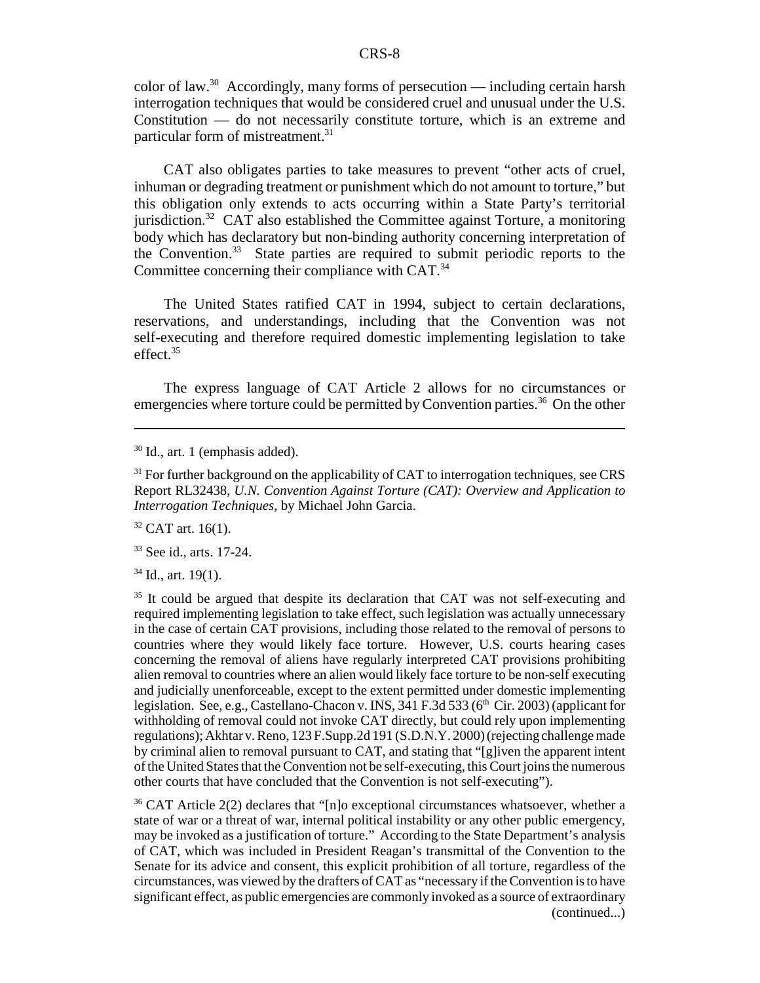color of law.<sup>30</sup> Accordingly, many forms of persecution — including certain harsh interrogation techniques that would be considered cruel and unusual under the U.S. Constitution — do not necessarily constitute torture, which is an extreme and particular form of mistreatment.<sup>31</sup>

CAT also obligates parties to take measures to prevent "other acts of cruel, inhuman or degrading treatment or punishment which do not amount to torture," but this obligation only extends to acts occurring within a State Party's territorial jurisdiction.32 CAT also established the Committee against Torture, a monitoring body which has declaratory but non-binding authority concerning interpretation of the Convention.33 State parties are required to submit periodic reports to the Committee concerning their compliance with CAT.<sup>34</sup>

The United States ratified CAT in 1994, subject to certain declarations, reservations, and understandings, including that the Convention was not self-executing and therefore required domestic implementing legislation to take effect.<sup>35</sup>

The express language of CAT Article 2 allows for no circumstances or emergencies where torture could be permitted by Convention parties.<sup>36</sup> On the other

 $32$  CAT art. 16(1).

33 See id., arts. 17-24.

 $34$  Id., art. 19(1).

<sup>35</sup> It could be argued that despite its declaration that CAT was not self-executing and required implementing legislation to take effect, such legislation was actually unnecessary in the case of certain CAT provisions, including those related to the removal of persons to countries where they would likely face torture. However, U.S. courts hearing cases concerning the removal of aliens have regularly interpreted CAT provisions prohibiting alien removal to countries where an alien would likely face torture to be non-self executing and judicially unenforceable, except to the extent permitted under domestic implementing legislation. See, e.g., Castellano-Chacon v. INS, 341 F.3d 533 ( $6<sup>th</sup>$  Cir. 2003) (applicant for withholding of removal could not invoke CAT directly, but could rely upon implementing regulations); Akhtar v. Reno, 123 F.Supp.2d 191 (S.D.N.Y. 2000) (rejecting challenge made by criminal alien to removal pursuant to CAT, and stating that "[g]iven the apparent intent of the United States that the Convention not be self-executing, this Court joins the numerous other courts that have concluded that the Convention is not self-executing").

<sup>36</sup> CAT Article 2(2) declares that "[n]o exceptional circumstances whatsoever, whether a state of war or a threat of war, internal political instability or any other public emergency, may be invoked as a justification of torture." According to the State Department's analysis of CAT, which was included in President Reagan's transmittal of the Convention to the Senate for its advice and consent, this explicit prohibition of all torture, regardless of the circumstances, was viewed by the drafters of CAT as "necessary if the Convention is to have significant effect, as public emergencies are commonly invoked as a source of extraordinary (continued...)

<sup>30</sup> Id., art. 1 (emphasis added).

 $31$  For further background on the applicability of CAT to interrogation techniques, see CRS Report RL32438, *U.N. Convention Against Torture (CAT): Overview and Application to Interrogation Techniques*, by Michael John Garcia.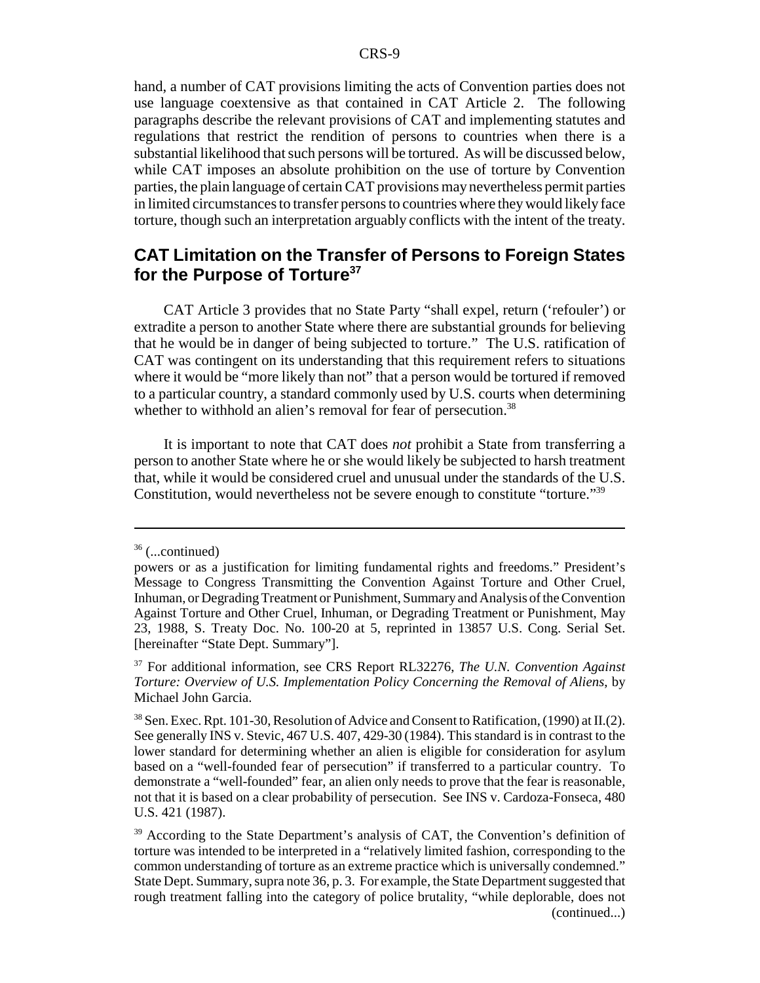hand, a number of CAT provisions limiting the acts of Convention parties does not use language coextensive as that contained in CAT Article 2. The following paragraphs describe the relevant provisions of CAT and implementing statutes and regulations that restrict the rendition of persons to countries when there is a substantial likelihood that such persons will be tortured. As will be discussed below, while CAT imposes an absolute prohibition on the use of torture by Convention parties, the plain language of certain CAT provisions may nevertheless permit parties in limited circumstances to transfer persons to countries where they would likely face torture, though such an interpretation arguably conflicts with the intent of the treaty.

### **CAT Limitation on the Transfer of Persons to Foreign States for the Purpose of Torture37**

CAT Article 3 provides that no State Party "shall expel, return ('refouler') or extradite a person to another State where there are substantial grounds for believing that he would be in danger of being subjected to torture." The U.S. ratification of CAT was contingent on its understanding that this requirement refers to situations where it would be "more likely than not" that a person would be tortured if removed to a particular country, a standard commonly used by U.S. courts when determining whether to withhold an alien's removal for fear of persecution.<sup>38</sup>

It is important to note that CAT does *not* prohibit a State from transferring a person to another State where he or she would likely be subjected to harsh treatment that, while it would be considered cruel and unusual under the standards of the U.S. Constitution, would nevertheless not be severe enough to constitute "torture."39

 $36$  (...continued)

powers or as a justification for limiting fundamental rights and freedoms." President's Message to Congress Transmitting the Convention Against Torture and Other Cruel, Inhuman, or Degrading Treatment or Punishment, Summary and Analysis of the Convention Against Torture and Other Cruel, Inhuman, or Degrading Treatment or Punishment, May 23, 1988, S. Treaty Doc. No. 100-20 at 5, reprinted in 13857 U.S. Cong. Serial Set. [hereinafter "State Dept. Summary"].

<sup>37</sup> For additional information, see CRS Report RL32276, *The U.N. Convention Against Torture: Overview of U.S. Implementation Policy Concerning the Removal of Aliens*, by Michael John Garcia.

<sup>38</sup> Sen. Exec. Rpt. 101-30, Resolution of Advice and Consent to Ratification, (1990) at II.(2). See generally INS v. Stevic, 467 U.S. 407, 429-30 (1984). This standard is in contrast to the lower standard for determining whether an alien is eligible for consideration for asylum based on a "well-founded fear of persecution" if transferred to a particular country. To demonstrate a "well-founded" fear, an alien only needs to prove that the fear is reasonable, not that it is based on a clear probability of persecution. See INS v. Cardoza-Fonseca, 480 U.S. 421 (1987).

<sup>&</sup>lt;sup>39</sup> According to the State Department's analysis of CAT, the Convention's definition of torture was intended to be interpreted in a "relatively limited fashion, corresponding to the common understanding of torture as an extreme practice which is universally condemned." State Dept. Summary, supra note 36, p. 3. For example, the State Department suggested that rough treatment falling into the category of police brutality, "while deplorable, does not (continued...)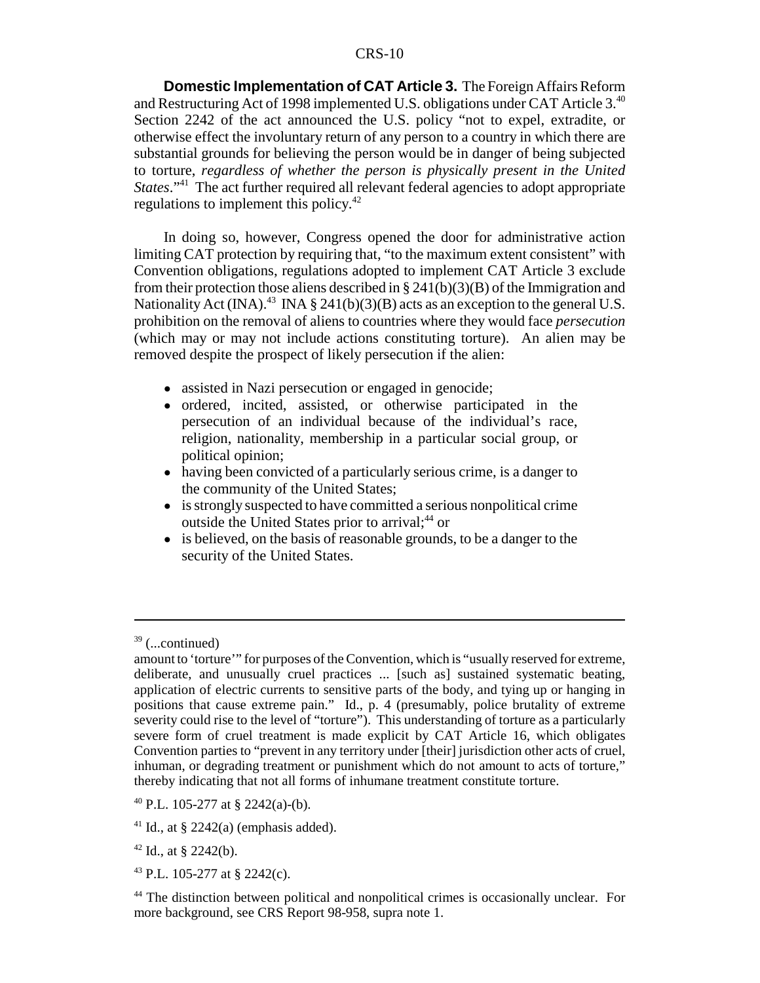**Domestic Implementation of CAT Article 3.** The Foreign Affairs Reform and Restructuring Act of 1998 implemented U.S. obligations under CAT Article 3.40 Section 2242 of the act announced the U.S. policy "not to expel, extradite, or otherwise effect the involuntary return of any person to a country in which there are substantial grounds for believing the person would be in danger of being subjected to torture, *regardless of whether the person is physically present in the United States*."<sup>41</sup> The act further required all relevant federal agencies to adopt appropriate regulations to implement this policy.42

In doing so, however, Congress opened the door for administrative action limiting CAT protection by requiring that, "to the maximum extent consistent" with Convention obligations, regulations adopted to implement CAT Article 3 exclude from their protection those aliens described in  $\S 241(b)(3)(B)$  of the Immigration and Nationality Act (INA).<sup>43</sup> INA § 241(b)(3)(B) acts as an exception to the general U.S. prohibition on the removal of aliens to countries where they would face *persecution* (which may or may not include actions constituting torture). An alien may be removed despite the prospect of likely persecution if the alien:

- assisted in Nazi persecution or engaged in genocide;
- ordered, incited, assisted, or otherwise participated in the persecution of an individual because of the individual's race, religion, nationality, membership in a particular social group, or political opinion;
- having been convicted of a particularly serious crime, is a danger to the community of the United States;
- ! is strongly suspected to have committed a serious nonpolitical crime outside the United States prior to arrival;<sup>44</sup> or
- is believed, on the basis of reasonable grounds, to be a danger to the security of the United States.

 $39$  (...continued)

amount to 'torture'" for purposes of the Convention, which is "usually reserved for extreme, deliberate, and unusually cruel practices ... [such as] sustained systematic beating, application of electric currents to sensitive parts of the body, and tying up or hanging in positions that cause extreme pain." Id., p. 4 (presumably, police brutality of extreme severity could rise to the level of "torture"). This understanding of torture as a particularly severe form of cruel treatment is made explicit by CAT Article 16, which obligates Convention parties to "prevent in any territory under [their] jurisdiction other acts of cruel, inhuman, or degrading treatment or punishment which do not amount to acts of torture," thereby indicating that not all forms of inhumane treatment constitute torture.

<sup>40</sup> P.L. 105-277 at § 2242(a)-(b).

<sup>&</sup>lt;sup>41</sup> Id., at  $\S$  2242(a) (emphasis added).

 $42$  Id., at § 2242(b).

<sup>43</sup> P.L. 105-277 at § 2242(c).

<sup>&</sup>lt;sup>44</sup> The distinction between political and nonpolitical crimes is occasionally unclear. For more background, see CRS Report 98-958, supra note 1.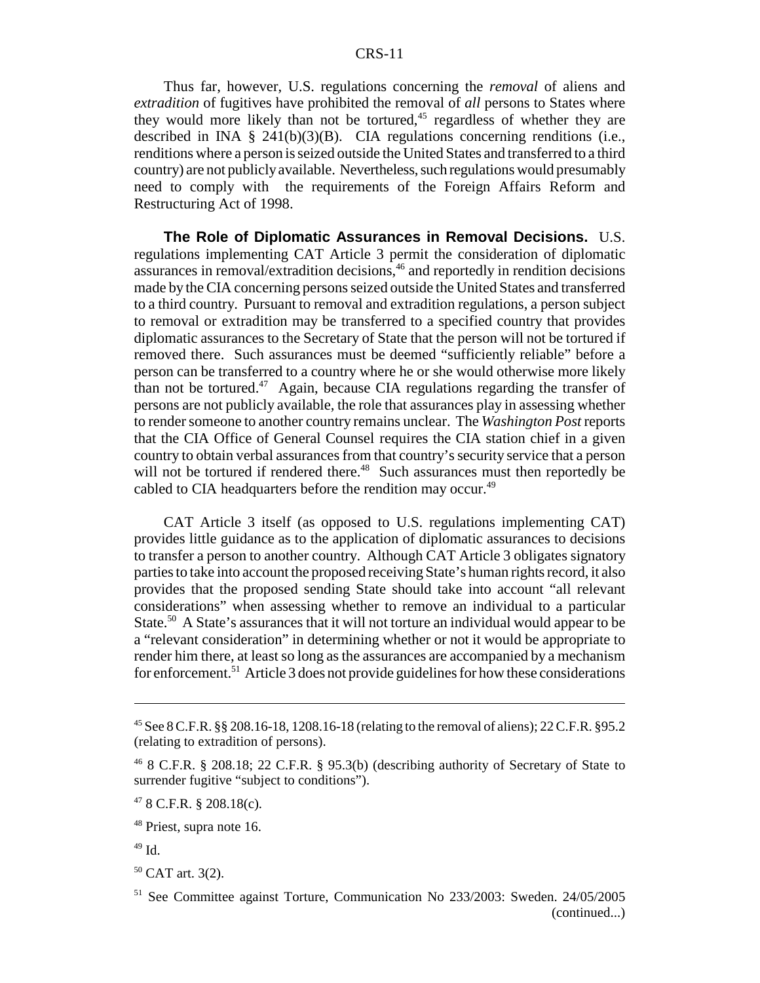Thus far, however, U.S. regulations concerning the *removal* of aliens and *extradition* of fugitives have prohibited the removal of *all* persons to States where they would more likely than not be tortured,  $45$  regardless of whether they are described in INA § 241(b)(3)(B). CIA regulations concerning renditions (i.e., renditions where a person is seized outside the United States and transferred to a third country) are not publicly available. Nevertheless, such regulations would presumably need to comply with the requirements of the Foreign Affairs Reform and Restructuring Act of 1998.

**The Role of Diplomatic Assurances in Removal Decisions.** U.S. regulations implementing CAT Article 3 permit the consideration of diplomatic assurances in removal/extradition decisions,<sup>46</sup> and reportedly in rendition decisions made by the CIA concerning persons seized outside the United States and transferred to a third country. Pursuant to removal and extradition regulations, a person subject to removal or extradition may be transferred to a specified country that provides diplomatic assurances to the Secretary of State that the person will not be tortured if removed there. Such assurances must be deemed "sufficiently reliable" before a person can be transferred to a country where he or she would otherwise more likely than not be tortured.<sup>47</sup> Again, because CIA regulations regarding the transfer of persons are not publicly available, the role that assurances play in assessing whether to render someone to another country remains unclear. The *Washington Post* reports that the CIA Office of General Counsel requires the CIA station chief in a given country to obtain verbal assurances from that country's security service that a person will not be tortured if rendered there.<sup>48</sup> Such assurances must then reportedly be cabled to CIA headquarters before the rendition may occur.<sup>49</sup>

CAT Article 3 itself (as opposed to U.S. regulations implementing CAT) provides little guidance as to the application of diplomatic assurances to decisions to transfer a person to another country. Although CAT Article 3 obligates signatory parties to take into account the proposed receiving State's human rights record, it also provides that the proposed sending State should take into account "all relevant considerations" when assessing whether to remove an individual to a particular State.<sup>50</sup> A State's assurances that it will not torture an individual would appear to be a "relevant consideration" in determining whether or not it would be appropriate to render him there, at least so long as the assurances are accompanied by a mechanism for enforcement.<sup>51</sup> Article 3 does not provide guidelines for how these considerations

<sup>&</sup>lt;sup>45</sup> See 8 C.F.R. §§ 208.16-18, 1208.16-18 (relating to the removal of aliens); 22 C.F.R. §95.2 (relating to extradition of persons).

<sup>46 8</sup> C.F.R. § 208.18; 22 C.F.R. § 95.3(b) (describing authority of Secretary of State to surrender fugitive "subject to conditions").

 $478$  C.F.R. § 208.18(c).

<sup>48</sup> Priest, supra note 16.

<sup>49</sup> Id.

<sup>50</sup> CAT art. 3(2).

<sup>51</sup> See Committee against Torture, Communication No 233/2003: Sweden. 24/05/2005 (continued...)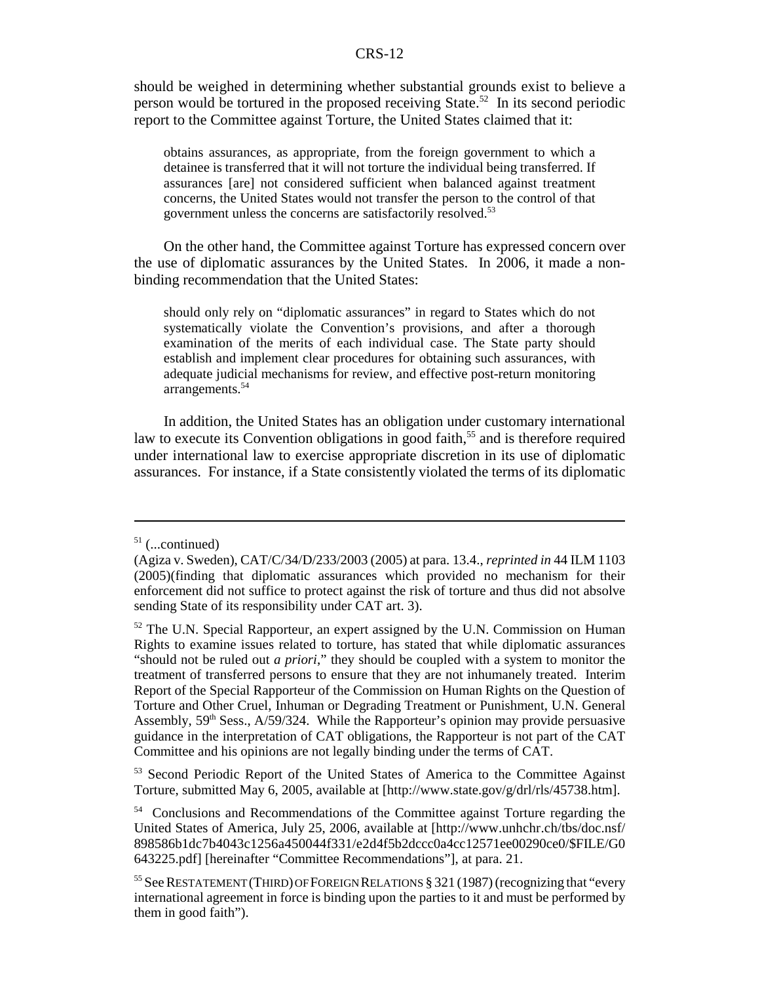should be weighed in determining whether substantial grounds exist to believe a person would be tortured in the proposed receiving State.<sup>52</sup> In its second periodic report to the Committee against Torture, the United States claimed that it:

obtains assurances, as appropriate, from the foreign government to which a detainee is transferred that it will not torture the individual being transferred. If assurances [are] not considered sufficient when balanced against treatment concerns, the United States would not transfer the person to the control of that government unless the concerns are satisfactorily resolved.<sup>53</sup>

On the other hand, the Committee against Torture has expressed concern over the use of diplomatic assurances by the United States. In 2006, it made a nonbinding recommendation that the United States:

should only rely on "diplomatic assurances" in regard to States which do not systematically violate the Convention's provisions, and after a thorough examination of the merits of each individual case. The State party should establish and implement clear procedures for obtaining such assurances, with adequate judicial mechanisms for review, and effective post-return monitoring arrangements.<sup>54</sup>

In addition, the United States has an obligation under customary international law to execute its Convention obligations in good faith,<sup>55</sup> and is therefore required under international law to exercise appropriate discretion in its use of diplomatic assurances. For instance, if a State consistently violated the terms of its diplomatic

<sup>53</sup> Second Periodic Report of the United States of America to the Committee Against Torture, submitted May 6, 2005, available at [http://www.state.gov/g/drl/rls/45738.htm].

 $51$  (...continued)

<sup>(</sup>Agiza v. Sweden), CAT/C/34/D/233/2003 (2005) at para. 13.4., *reprinted in* 44 ILM 1103 (2005)(finding that diplomatic assurances which provided no mechanism for their enforcement did not suffice to protect against the risk of torture and thus did not absolve sending State of its responsibility under CAT art. 3).

<sup>&</sup>lt;sup>52</sup> The U.N. Special Rapporteur, an expert assigned by the U.N. Commission on Human Rights to examine issues related to torture, has stated that while diplomatic assurances "should not be ruled out *a priori*," they should be coupled with a system to monitor the treatment of transferred persons to ensure that they are not inhumanely treated. Interim Report of the Special Rapporteur of the Commission on Human Rights on the Question of Torture and Other Cruel, Inhuman or Degrading Treatment or Punishment, U.N. General Assembly,  $59<sup>th</sup> Sess., A/59/324.$  While the Rapporteur's opinion may provide persuasive guidance in the interpretation of CAT obligations, the Rapporteur is not part of the CAT Committee and his opinions are not legally binding under the terms of CAT.

<sup>54</sup> Conclusions and Recommendations of the Committee against Torture regarding the United States of America, July 25, 2006, available at [http://www.unhchr.ch/tbs/doc.nsf/ 898586b1dc7b4043c1256a450044f331/e2d4f5b2dccc0a4cc12571ee00290ce0/\$FILE/G0 643225.pdf] [hereinafter "Committee Recommendations"], at para. 21.

<sup>55</sup> See RESTATEMENT (THIRD) OF FOREIGN RELATIONS § 321 (1987) (recognizing that "every international agreement in force is binding upon the parties to it and must be performed by them in good faith").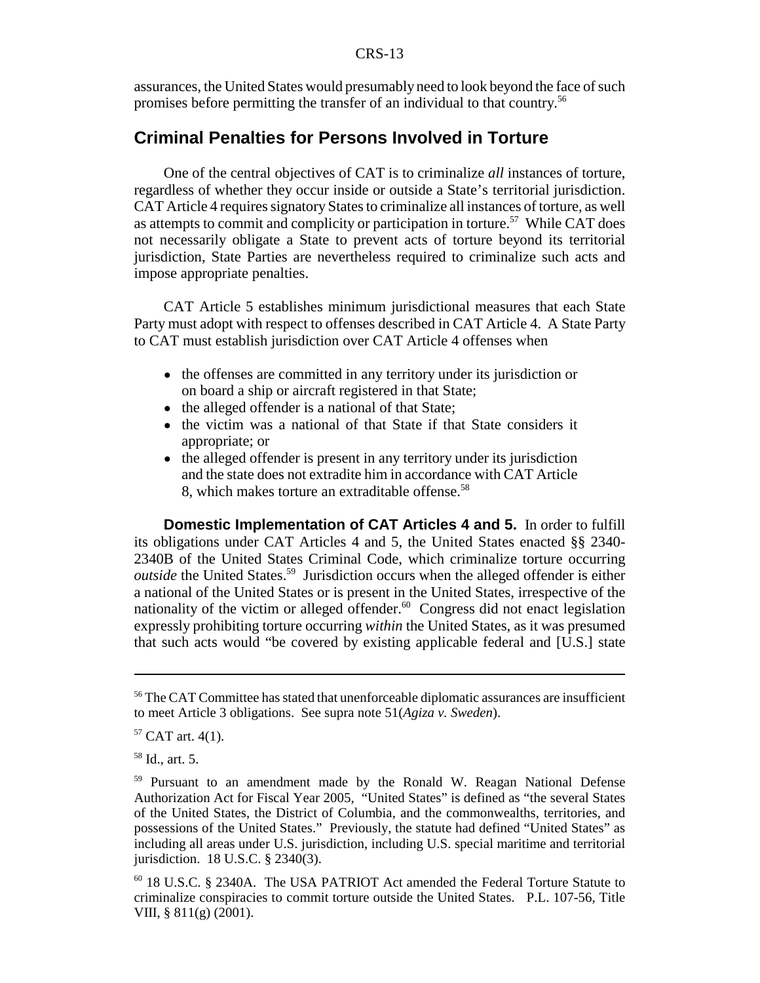assurances, the United States would presumably need to look beyond the face of such promises before permitting the transfer of an individual to that country.56

#### **Criminal Penalties for Persons Involved in Torture**

One of the central objectives of CAT is to criminalize *all* instances of torture, regardless of whether they occur inside or outside a State's territorial jurisdiction. CAT Article 4 requires signatory States to criminalize all instances of torture, as well as attempts to commit and complicity or participation in torture.<sup>57</sup> While CAT does not necessarily obligate a State to prevent acts of torture beyond its territorial jurisdiction, State Parties are nevertheless required to criminalize such acts and impose appropriate penalties.

CAT Article 5 establishes minimum jurisdictional measures that each State Party must adopt with respect to offenses described in CAT Article 4. A State Party to CAT must establish jurisdiction over CAT Article 4 offenses when

- the offenses are committed in any territory under its jurisdiction or on board a ship or aircraft registered in that State;
- the alleged offender is a national of that State;
- the victim was a national of that State if that State considers it appropriate; or
- the alleged offender is present in any territory under its jurisdiction and the state does not extradite him in accordance with CAT Article 8, which makes torture an extraditable offense.<sup>58</sup>

**Domestic Implementation of CAT Articles 4 and 5.** In order to fulfill its obligations under CAT Articles 4 and 5, the United States enacted §§ 2340- 2340B of the United States Criminal Code, which criminalize torture occurring *outside* the United States.<sup>59</sup> Jurisdiction occurs when the alleged offender is either a national of the United States or is present in the United States, irrespective of the nationality of the victim or alleged offender. $60$  Congress did not enact legislation expressly prohibiting torture occurring *within* the United States, as it was presumed that such acts would "be covered by existing applicable federal and  $[U.S.]$  state

<sup>&</sup>lt;sup>56</sup> The CAT Committee has stated that unenforceable diplomatic assurances are insufficient to meet Article 3 obligations. See supra note 51(*Agiza v. Sweden*).

 $57$  CAT art. 4(1).

<sup>58</sup> Id., art. 5.

<sup>59</sup> Pursuant to an amendment made by the Ronald W. Reagan National Defense Authorization Act for Fiscal Year 2005, "United States" is defined as "the several States of the United States, the District of Columbia, and the commonwealths, territories, and possessions of the United States." Previously, the statute had defined "United States" as including all areas under U.S. jurisdiction, including U.S. special maritime and territorial jurisdiction. 18 U.S.C. § 2340(3).

<sup>60 18</sup> U.S.C. § 2340A. The USA PATRIOT Act amended the Federal Torture Statute to criminalize conspiracies to commit torture outside the United States. P.L. 107-56, Title VIII, § 811(g) (2001).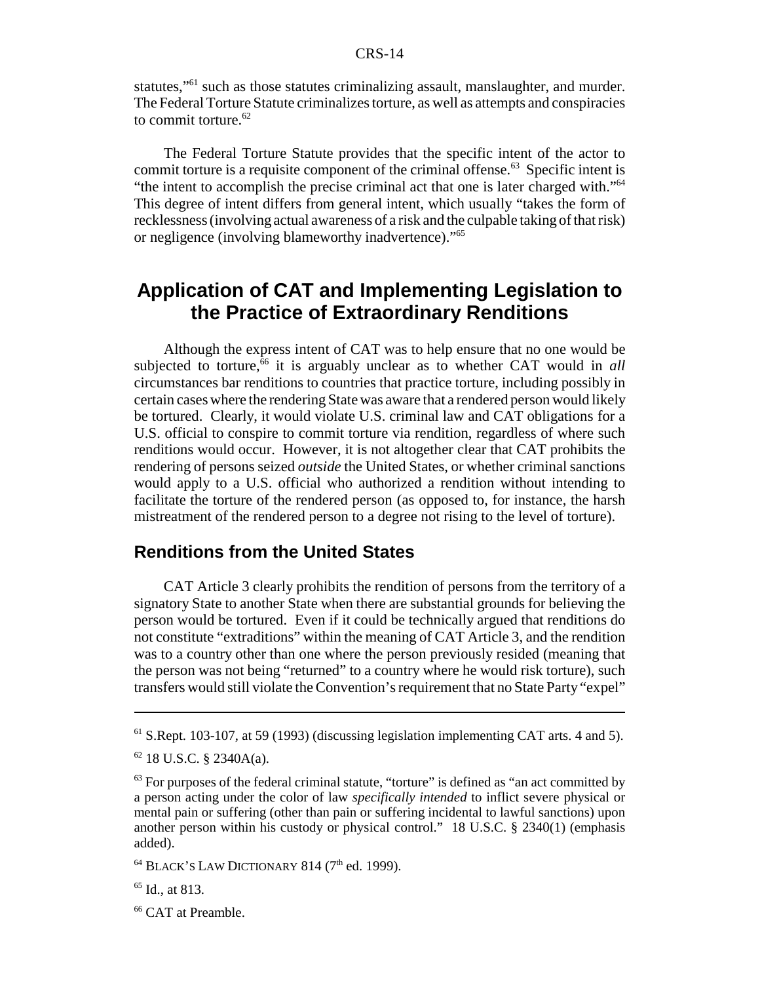statutes,"61 such as those statutes criminalizing assault, manslaughter, and murder. The Federal Torture Statute criminalizes torture, as well as attempts and conspiracies to commit torture. $62$ 

The Federal Torture Statute provides that the specific intent of the actor to commit torture is a requisite component of the criminal offense.<sup>63</sup> Specific intent is "the intent to accomplish the precise criminal act that one is later charged with."64 This degree of intent differs from general intent, which usually "takes the form of recklessness (involving actual awareness of a risk and the culpable taking of that risk) or negligence (involving blameworthy inadvertence)."65

## **Application of CAT and Implementing Legislation to the Practice of Extraordinary Renditions**

Although the express intent of CAT was to help ensure that no one would be subjected to torture,<sup>66</sup> it is arguably unclear as to whether CAT would in *all* circumstances bar renditions to countries that practice torture, including possibly in certain cases where the rendering State was aware that a rendered person would likely be tortured. Clearly, it would violate U.S. criminal law and CAT obligations for a U.S. official to conspire to commit torture via rendition, regardless of where such renditions would occur. However, it is not altogether clear that CAT prohibits the rendering of persons seized *outside* the United States, or whether criminal sanctions would apply to a U.S. official who authorized a rendition without intending to facilitate the torture of the rendered person (as opposed to, for instance, the harsh mistreatment of the rendered person to a degree not rising to the level of torture).

#### **Renditions from the United States**

CAT Article 3 clearly prohibits the rendition of persons from the territory of a signatory State to another State when there are substantial grounds for believing the person would be tortured. Even if it could be technically argued that renditions do not constitute "extraditions" within the meaning of CAT Article 3, and the rendition was to a country other than one where the person previously resided (meaning that the person was not being "returned" to a country where he would risk torture), such transfers would still violate the Convention's requirement that no State Party "expel"

<sup>61</sup> S.Rept. 103-107, at 59 (1993) (discussing legislation implementing CAT arts. 4 and 5).

 $62$  18 U.S.C. § 2340A(a).

 $<sup>63</sup>$  For purposes of the federal criminal statute, "torture" is defined as "an act committed by</sup> a person acting under the color of law *specifically intended* to inflict severe physical or mental pain or suffering (other than pain or suffering incidental to lawful sanctions) upon another person within his custody or physical control." 18 U.S.C. § 2340(1) (emphasis added).

 $64$  BLACK'S LAW DICTIONARY 814 ( $7<sup>th</sup>$  ed. 1999).

 $65$  Id., at 813.

<sup>&</sup>lt;sup>66</sup> CAT at Preamble.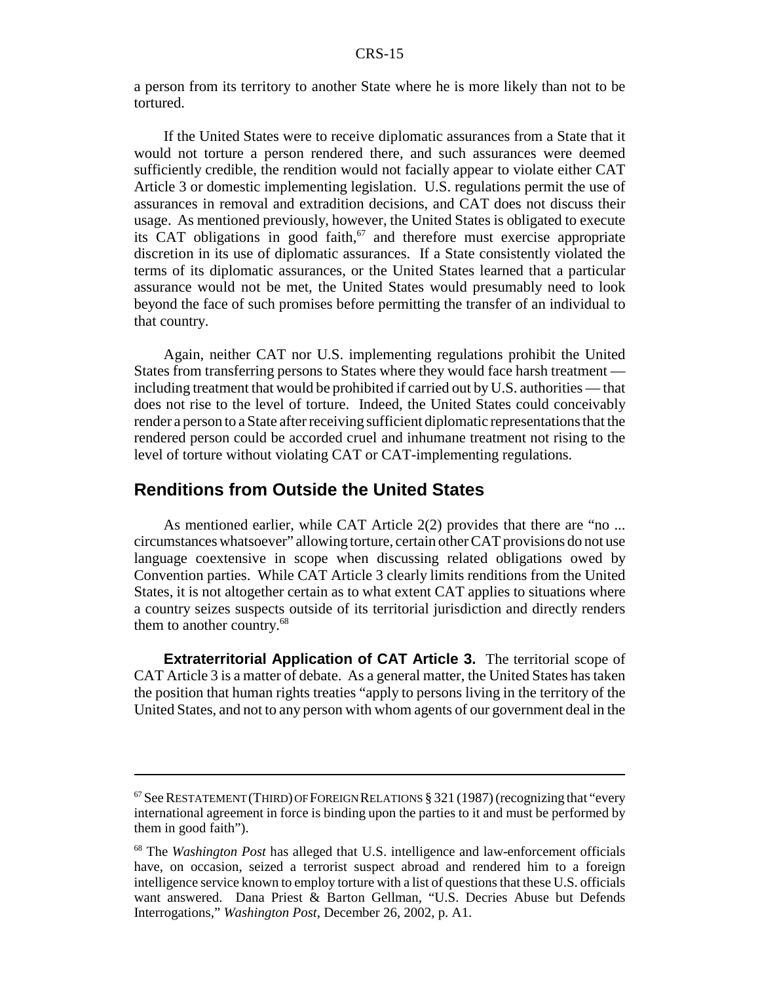a person from its territory to another State where he is more likely than not to be tortured.

If the United States were to receive diplomatic assurances from a State that it would not torture a person rendered there, and such assurances were deemed sufficiently credible, the rendition would not facially appear to violate either CAT Article 3 or domestic implementing legislation. U.S. regulations permit the use of assurances in removal and extradition decisions, and CAT does not discuss their usage. As mentioned previously, however, the United States is obligated to execute its CAT obligations in good faith,<sup>67</sup> and therefore must exercise appropriate discretion in its use of diplomatic assurances. If a State consistently violated the terms of its diplomatic assurances, or the United States learned that a particular assurance would not be met, the United States would presumably need to look beyond the face of such promises before permitting the transfer of an individual to that country.

Again, neither CAT nor U.S. implementing regulations prohibit the United States from transferring persons to States where they would face harsh treatment including treatment that would be prohibited if carried out by U.S. authorities — that does not rise to the level of torture. Indeed, the United States could conceivably render a person to a State after receiving sufficient diplomatic representations that the rendered person could be accorded cruel and inhumane treatment not rising to the level of torture without violating CAT or CAT-implementing regulations.

#### **Renditions from Outside the United States**

As mentioned earlier, while CAT Article 2(2) provides that there are "no ... circumstances whatsoever" allowing torture, certain other CAT provisions do not use language coextensive in scope when discussing related obligations owed by Convention parties. While CAT Article 3 clearly limits renditions from the United States, it is not altogether certain as to what extent CAT applies to situations where a country seizes suspects outside of its territorial jurisdiction and directly renders them to another country.68

**Extraterritorial Application of CAT Article 3.** The territorial scope of CAT Article 3 is a matter of debate. As a general matter, the United States has taken the position that human rights treaties "apply to persons living in the territory of the United States, and not to any person with whom agents of our government deal in the

 $67$  See RESTATEMENT (THIRD) OF FOREIGN RELATIONS § 321 (1987) (recognizing that "every international agreement in force is binding upon the parties to it and must be performed by them in good faith").

<sup>68</sup> The *Washington Post* has alleged that U.S. intelligence and law-enforcement officials have, on occasion, seized a terrorist suspect abroad and rendered him to a foreign intelligence service known to employ torture with a list of questions that these U.S. officials want answered. Dana Priest & Barton Gellman, "U.S. Decries Abuse but Defends Interrogations," *Washington Post*, December 26, 2002, p. A1.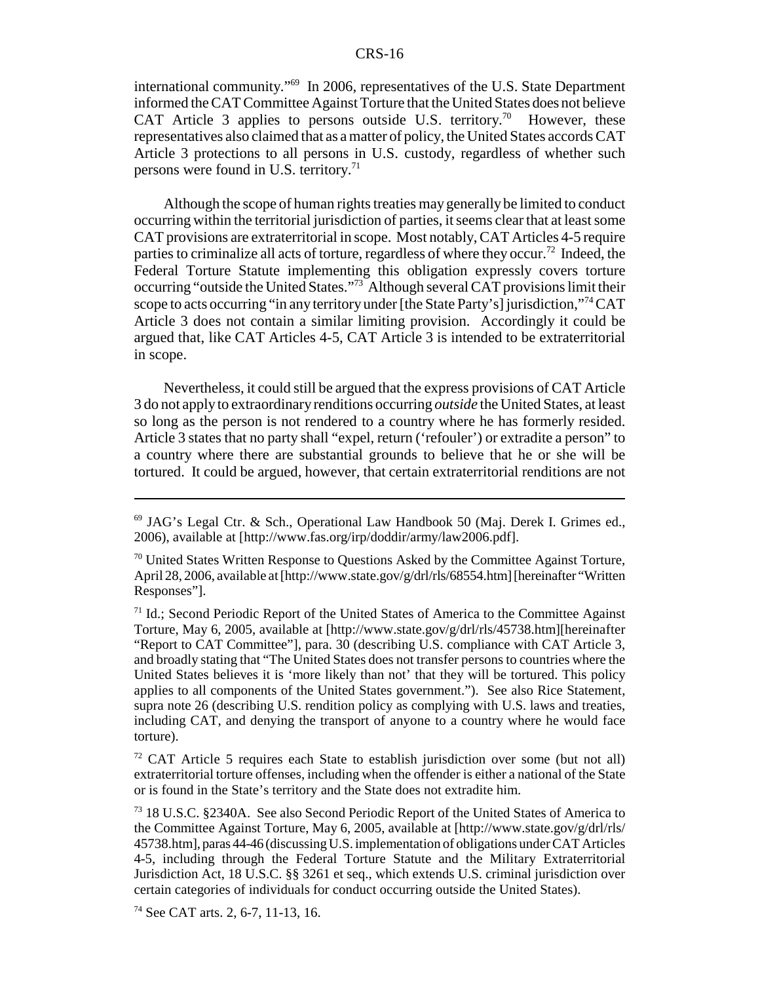international community."69 In 2006, representatives of the U.S. State Department informed the CAT Committee Against Torture that the United States does not believe CAT Article 3 applies to persons outside U.S. territory.<sup>70</sup> However, these representatives also claimed that as a matter of policy, the United States accords CAT Article 3 protections to all persons in U.S. custody, regardless of whether such persons were found in U.S. territory.<sup>71</sup>

Although the scope of human rights treaties may generally be limited to conduct occurring within the territorial jurisdiction of parties, it seems clear that at least some CAT provisions are extraterritorial in scope. Most notably, CAT Articles 4-5 require parties to criminalize all acts of torture, regardless of where they occur.<sup>72</sup> Indeed, the Federal Torture Statute implementing this obligation expressly covers torture occurring "outside the United States."73 Although several CAT provisions limit their scope to acts occurring "in any territory under [the State Party's] jurisdiction,"<sup>74</sup> CAT Article 3 does not contain a similar limiting provision. Accordingly it could be argued that, like CAT Articles 4-5, CAT Article 3 is intended to be extraterritorial in scope.

Nevertheless, it could still be argued that the express provisions of CAT Article 3 do not apply to extraordinary renditions occurring *outside* the United States, at least so long as the person is not rendered to a country where he has formerly resided. Article 3 states that no party shall "expel, return ('refouler') or extradite a person" to a country where there are substantial grounds to believe that he or she will be tortured. It could be argued, however, that certain extraterritorial renditions are not

<sup>69</sup> JAG's Legal Ctr. & Sch., Operational Law Handbook 50 (Maj. Derek I. Grimes ed., 2006), available at [http://www.fas.org/irp/doddir/army/law2006.pdf].

 $70$  United States Written Response to Questions Asked by the Committee Against Torture, April 28, 2006, available at [http://www.state.gov/g/drl/rls/68554.htm] [hereinafter "Written Responses"].

 $71$  Id.; Second Periodic Report of the United States of America to the Committee Against Torture, May 6, 2005, available at [http://www.state.gov/g/drl/rls/45738.htm][hereinafter "Report to CAT Committee"], para. 30 (describing U.S. compliance with CAT Article 3, and broadly stating that "The United States does not transfer persons to countries where the United States believes it is 'more likely than not' that they will be tortured. This policy applies to all components of the United States government."). See also Rice Statement, supra note 26 (describing U.S. rendition policy as complying with U.S. laws and treaties, including CAT, and denying the transport of anyone to a country where he would face torture).

<sup>&</sup>lt;sup>72</sup> CAT Article 5 requires each State to establish jurisdiction over some (but not all) extraterritorial torture offenses, including when the offender is either a national of the State or is found in the State's territory and the State does not extradite him.

<sup>73 18</sup> U.S.C. §2340A. See also Second Periodic Report of the United States of America to the Committee Against Torture, May 6, 2005, available at [http://www.state.gov/g/drl/rls/ 45738.htm], paras 44-46 (discussing U.S. implementation of obligations under CAT Articles 4-5, including through the Federal Torture Statute and the Military Extraterritorial Jurisdiction Act, 18 U.S.C. §§ 3261 et seq., which extends U.S. criminal jurisdiction over certain categories of individuals for conduct occurring outside the United States).

<sup>&</sup>lt;sup>74</sup> See CAT arts. 2, 6-7, 11-13, 16.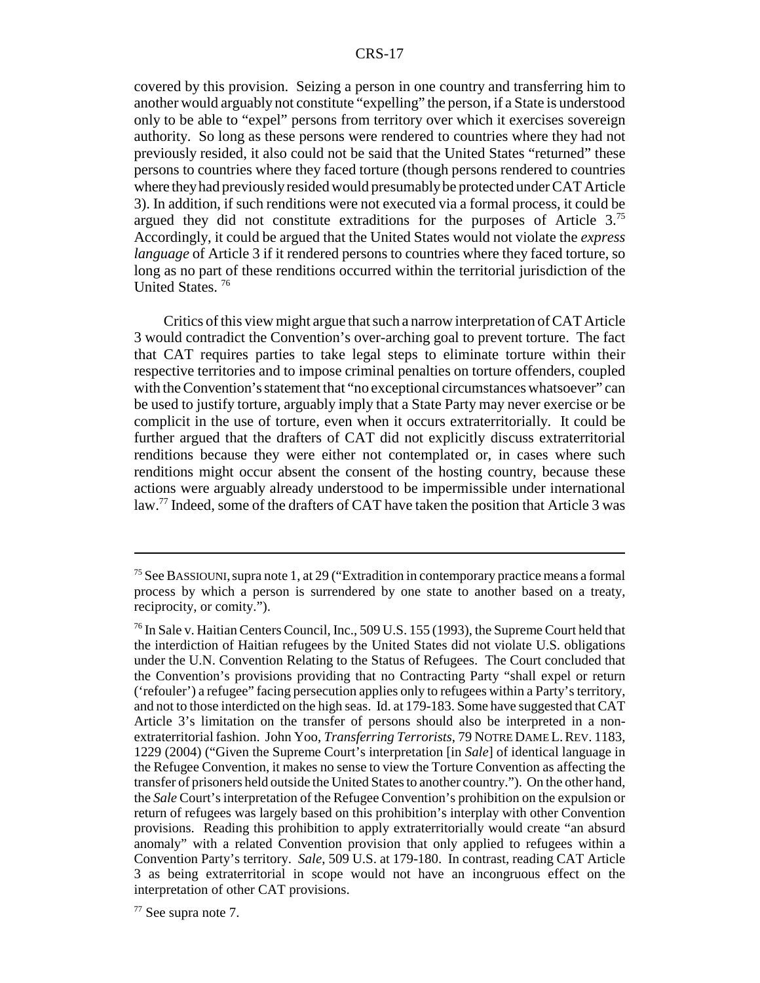covered by this provision. Seizing a person in one country and transferring him to another would arguably not constitute "expelling" the person, if a State is understood only to be able to "expel" persons from territory over which it exercises sovereign authority. So long as these persons were rendered to countries where they had not previously resided, it also could not be said that the United States "returned" these persons to countries where they faced torture (though persons rendered to countries where they had previously resided would presumably be protected under CAT Article 3). In addition, if such renditions were not executed via a formal process, it could be argued they did not constitute extraditions for the purposes of Article  $3^{75}$ Accordingly, it could be argued that the United States would not violate the *express language* of Article 3 if it rendered persons to countries where they faced torture, so long as no part of these renditions occurred within the territorial jurisdiction of the United States.<sup>76</sup>

Critics of this view might argue that such a narrow interpretation of CAT Article 3 would contradict the Convention's over-arching goal to prevent torture. The fact that CAT requires parties to take legal steps to eliminate torture within their respective territories and to impose criminal penalties on torture offenders, coupled with the Convention's statement that "no exceptional circumstances whatsoever" can be used to justify torture, arguably imply that a State Party may never exercise or be complicit in the use of torture, even when it occurs extraterritorially. It could be further argued that the drafters of CAT did not explicitly discuss extraterritorial renditions because they were either not contemplated or, in cases where such renditions might occur absent the consent of the hosting country, because these actions were arguably already understood to be impermissible under international law.77 Indeed, some of the drafters of CAT have taken the position that Article 3 was

77 See supra note 7.

<sup>75</sup> See BASSIOUNI,supra note 1, at 29 ("Extradition in contemporary practice means a formal process by which a person is surrendered by one state to another based on a treaty, reciprocity, or comity.").

 $^{76}$  In Sale v. Haitian Centers Council, Inc., 509 U.S. 155 (1993), the Supreme Court held that the interdiction of Haitian refugees by the United States did not violate U.S. obligations under the U.N. Convention Relating to the Status of Refugees. The Court concluded that the Convention's provisions providing that no Contracting Party "shall expel or return ('refouler') a refugee" facing persecution applies only to refugees within a Party's territory, and not to those interdicted on the high seas. Id. at 179-183. Some have suggested that CAT Article 3's limitation on the transfer of persons should also be interpreted in a nonextraterritorial fashion. John Yoo, *Transferring Terrorists*, 79 NOTRE DAME L. REV. 1183, 1229 (2004) ("Given the Supreme Court's interpretation [in *Sale*] of identical language in the Refugee Convention, it makes no sense to view the Torture Convention as affecting the transfer of prisoners held outside the United States to another country."). On the other hand, the *Sale* Court's interpretation of the Refugee Convention's prohibition on the expulsion or return of refugees was largely based on this prohibition's interplay with other Convention provisions. Reading this prohibition to apply extraterritorially would create "an absurd anomaly" with a related Convention provision that only applied to refugees within a Convention Party's territory. *Sale*, 509 U.S. at 179-180. In contrast, reading CAT Article 3 as being extraterritorial in scope would not have an incongruous effect on the interpretation of other CAT provisions.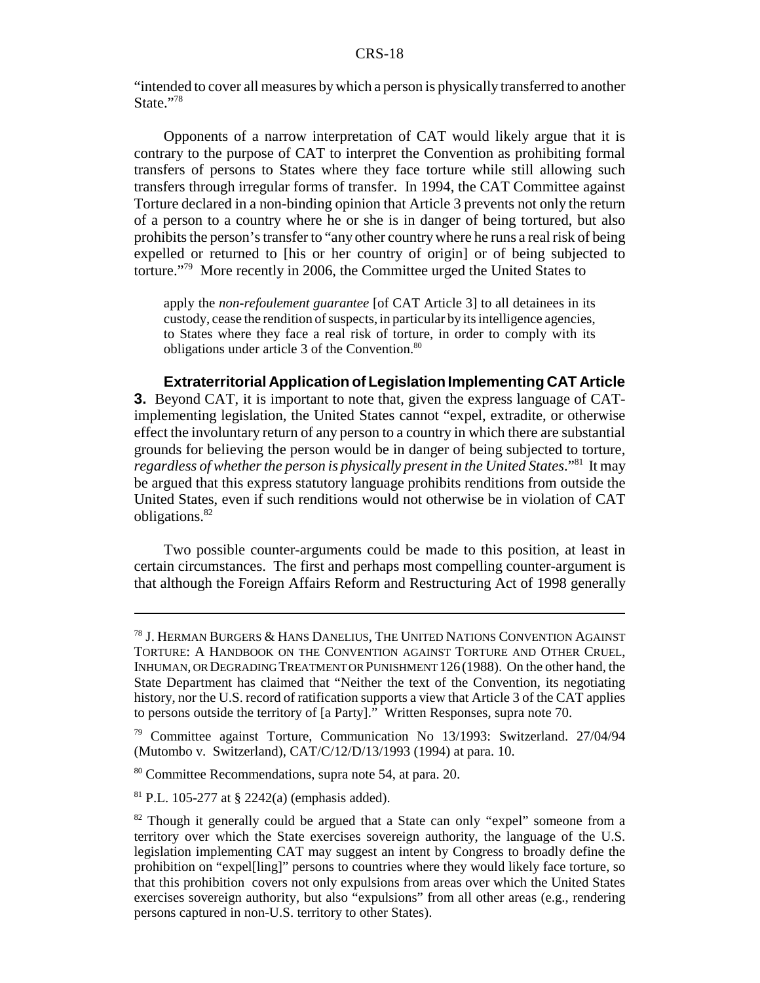"intended to cover all measures by which a person is physically transferred to another State."78

Opponents of a narrow interpretation of CAT would likely argue that it is contrary to the purpose of CAT to interpret the Convention as prohibiting formal transfers of persons to States where they face torture while still allowing such transfers through irregular forms of transfer. In 1994, the CAT Committee against Torture declared in a non-binding opinion that Article 3 prevents not only the return of a person to a country where he or she is in danger of being tortured, but also prohibits the person's transfer to "any other country where he runs a real risk of being expelled or returned to [his or her country of origin] or of being subjected to torture."79 More recently in 2006, the Committee urged the United States to

apply the *non-refoulement guarantee* [of CAT Article 3] to all detainees in its custody, cease the rendition of suspects, in particular by its intelligence agencies, to States where they face a real risk of torture, in order to comply with its obligations under article 3 of the Convention.<sup>80</sup>

**Extraterritorial Application of Legislation Implementing CAT Article 3.** Beyond CAT, it is important to note that, given the express language of CATimplementing legislation, the United States cannot "expel, extradite, or otherwise effect the involuntary return of any person to a country in which there are substantial grounds for believing the person would be in danger of being subjected to torture, *regardless of whether the person is physically present in the United States*."81 It may be argued that this express statutory language prohibits renditions from outside the United States, even if such renditions would not otherwise be in violation of CAT obligations.82

Two possible counter-arguments could be made to this position, at least in certain circumstances. The first and perhaps most compelling counter-argument is that although the Foreign Affairs Reform and Restructuring Act of 1998 generally

<sup>78</sup> J. HERMAN BURGERS & HANS DANELIUS, THE UNITED NATIONS CONVENTION AGAINST TORTURE: A HANDBOOK ON THE CONVENTION AGAINST TORTURE AND OTHER CRUEL, INHUMAN, OR DEGRADING TREATMENT OR PUNISHMENT 126 (1988). On the other hand, the State Department has claimed that "Neither the text of the Convention, its negotiating history, nor the U.S. record of ratification supports a view that Article 3 of the CAT applies to persons outside the territory of [a Party]." Written Responses, supra note 70.

<sup>79</sup> Committee against Torture, Communication No 13/1993: Switzerland. 27/04/94 (Mutombo v. Switzerland), CAT/C/12/D/13/1993 (1994) at para. 10.

<sup>80</sup> Committee Recommendations, supra note 54, at para. 20.

<sup>&</sup>lt;sup>81</sup> P.L. 105-277 at § 2242(a) (emphasis added).

<sup>&</sup>lt;sup>82</sup> Though it generally could be argued that a State can only "expel" someone from a territory over which the State exercises sovereign authority, the language of the U.S. legislation implementing CAT may suggest an intent by Congress to broadly define the prohibition on "expel[ling]" persons to countries where they would likely face torture, so that this prohibition covers not only expulsions from areas over which the United States exercises sovereign authority, but also "expulsions" from all other areas (e.g., rendering persons captured in non-U.S. territory to other States).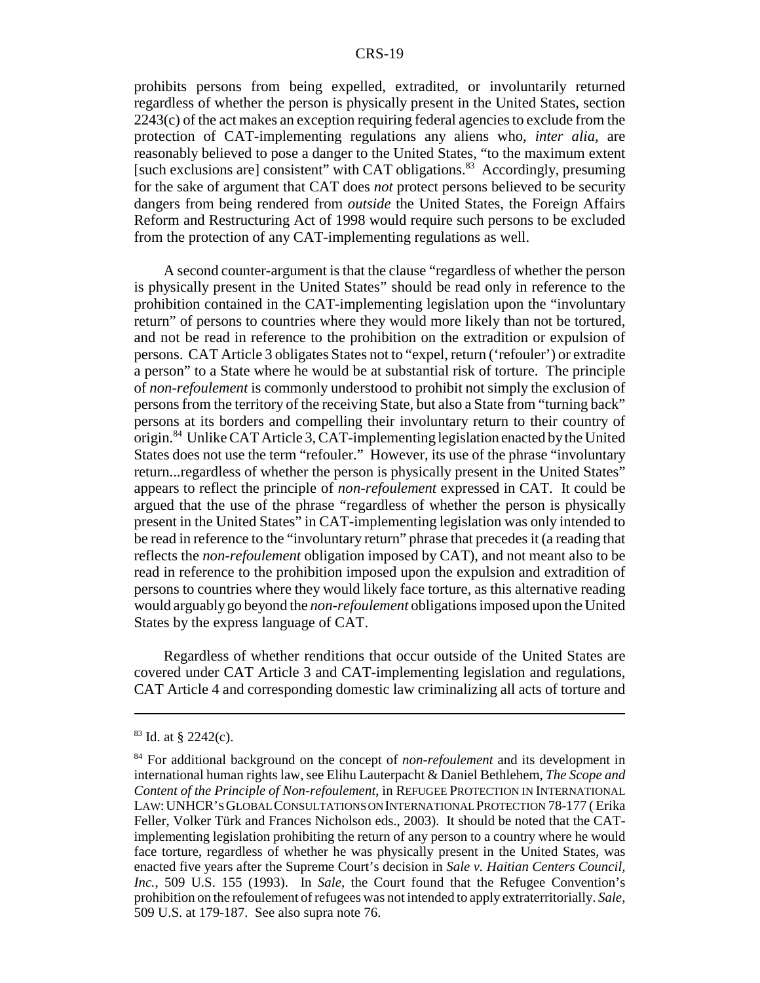prohibits persons from being expelled, extradited, or involuntarily returned regardless of whether the person is physically present in the United States, section 2243(c) of the act makes an exception requiring federal agencies to exclude from the protection of CAT-implementing regulations any aliens who, *inter alia*, are reasonably believed to pose a danger to the United States, "to the maximum extent [such exclusions are] consistent" with CAT obligations.<sup>83</sup> Accordingly, presuming for the sake of argument that CAT does *not* protect persons believed to be security dangers from being rendered from *outside* the United States, the Foreign Affairs Reform and Restructuring Act of 1998 would require such persons to be excluded from the protection of any CAT-implementing regulations as well.

A second counter-argument is that the clause "regardless of whether the person is physically present in the United States" should be read only in reference to the prohibition contained in the CAT-implementing legislation upon the "involuntary return" of persons to countries where they would more likely than not be tortured, and not be read in reference to the prohibition on the extradition or expulsion of persons. CAT Article 3 obligates States not to "expel, return ('refouler') or extradite a person" to a State where he would be at substantial risk of torture. The principle of *non-refoulement* is commonly understood to prohibit not simply the exclusion of persons from the territory of the receiving State, but also a State from "turning back" persons at its borders and compelling their involuntary return to their country of origin.84 Unlike CAT Article 3, CAT-implementing legislation enacted by the United States does not use the term "refouler." However, its use of the phrase "involuntary return...regardless of whether the person is physically present in the United States" appears to reflect the principle of *non-refoulement* expressed in CAT. It could be argued that the use of the phrase "regardless of whether the person is physically present in the United States" in CAT-implementing legislation was only intended to be read in reference to the "involuntary return" phrase that precedes it (a reading that reflects the *non-refoulement* obligation imposed by CAT), and not meant also to be read in reference to the prohibition imposed upon the expulsion and extradition of persons to countries where they would likely face torture, as this alternative reading would arguably go beyond the *non-refoulement* obligations imposed upon the United States by the express language of CAT.

Regardless of whether renditions that occur outside of the United States are covered under CAT Article 3 and CAT-implementing legislation and regulations, CAT Article 4 and corresponding domestic law criminalizing all acts of torture and

 $83$  Id. at § 2242(c).

<sup>84</sup> For additional background on the concept of *non-refoulement* and its development in international human rights law, see Elihu Lauterpacht & Daniel Bethlehem, *The Scope and Content of the Principle of Non-refoulement*, in REFUGEE PROTECTION IN INTERNATIONAL LAW:UNHCR'S GLOBAL CONSULTATIONS ON INTERNATIONAL PROTECTION 78-177 ( Erika Feller, Volker Türk and Frances Nicholson eds., 2003). It should be noted that the CATimplementing legislation prohibiting the return of any person to a country where he would face torture, regardless of whether he was physically present in the United States, was enacted five years after the Supreme Court's decision in *Sale v. Haitian Centers Council, Inc.*, 509 U.S. 155 (1993). In *Sale*, the Court found that the Refugee Convention's prohibition on the refoulement of refugees was not intended to apply extraterritorially. *Sale*, 509 U.S. at 179-187. See also supra note 76.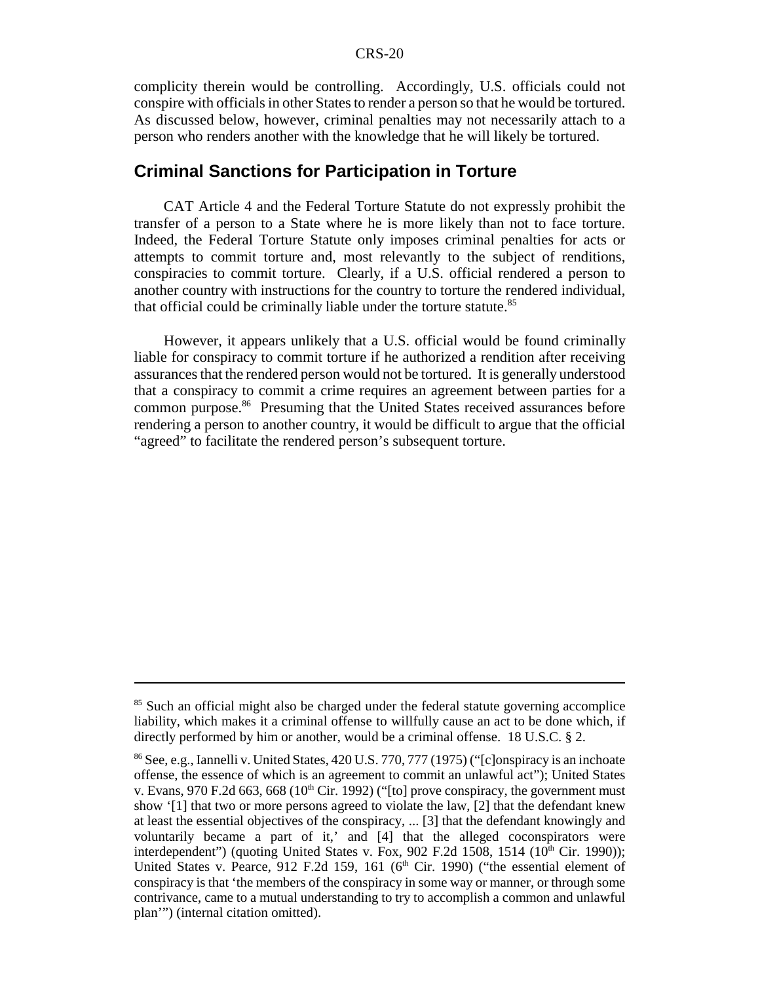complicity therein would be controlling. Accordingly, U.S. officials could not conspire with officials in other States to render a person so that he would be tortured. As discussed below, however, criminal penalties may not necessarily attach to a person who renders another with the knowledge that he will likely be tortured.

#### **Criminal Sanctions for Participation in Torture**

CAT Article 4 and the Federal Torture Statute do not expressly prohibit the transfer of a person to a State where he is more likely than not to face torture. Indeed, the Federal Torture Statute only imposes criminal penalties for acts or attempts to commit torture and, most relevantly to the subject of renditions, conspiracies to commit torture. Clearly, if a U.S. official rendered a person to another country with instructions for the country to torture the rendered individual, that official could be criminally liable under the torture statute.<sup>85</sup>

However, it appears unlikely that a U.S. official would be found criminally liable for conspiracy to commit torture if he authorized a rendition after receiving assurances that the rendered person would not be tortured. It is generally understood that a conspiracy to commit a crime requires an agreement between parties for a common purpose.<sup>86</sup> Presuming that the United States received assurances before rendering a person to another country, it would be difficult to argue that the official "agreed" to facilitate the rendered person's subsequent torture.

<sup>&</sup>lt;sup>85</sup> Such an official might also be charged under the federal statute governing accomplice liability, which makes it a criminal offense to willfully cause an act to be done which, if directly performed by him or another, would be a criminal offense. 18 U.S.C. § 2.

<sup>86</sup> See, e.g., Iannelli v. United States, 420 U.S. 770, 777 (1975) ("[c]onspiracy is an inchoate offense, the essence of which is an agreement to commit an unlawful act"); United States v. Evans, 970 F.2d 663, 668 ( $10^{th}$  Cir. 1992) ("[to] prove conspiracy, the government must show '[1] that two or more persons agreed to violate the law, [2] that the defendant knew at least the essential objectives of the conspiracy, ... [3] that the defendant knowingly and voluntarily became a part of it,' and [4] that the alleged coconspirators were interdependent") (quoting United States v. Fox, 902 F.2d 1508, 1514  $(10<sup>th</sup>$  Cir. 1990)); United States v. Pearce, 912 F.2d 159, 161 ( $6<sup>th</sup>$  Cir. 1990) ("the essential element of conspiracy is that 'the members of the conspiracy in some way or manner, or through some contrivance, came to a mutual understanding to try to accomplish a common and unlawful plan'") (internal citation omitted).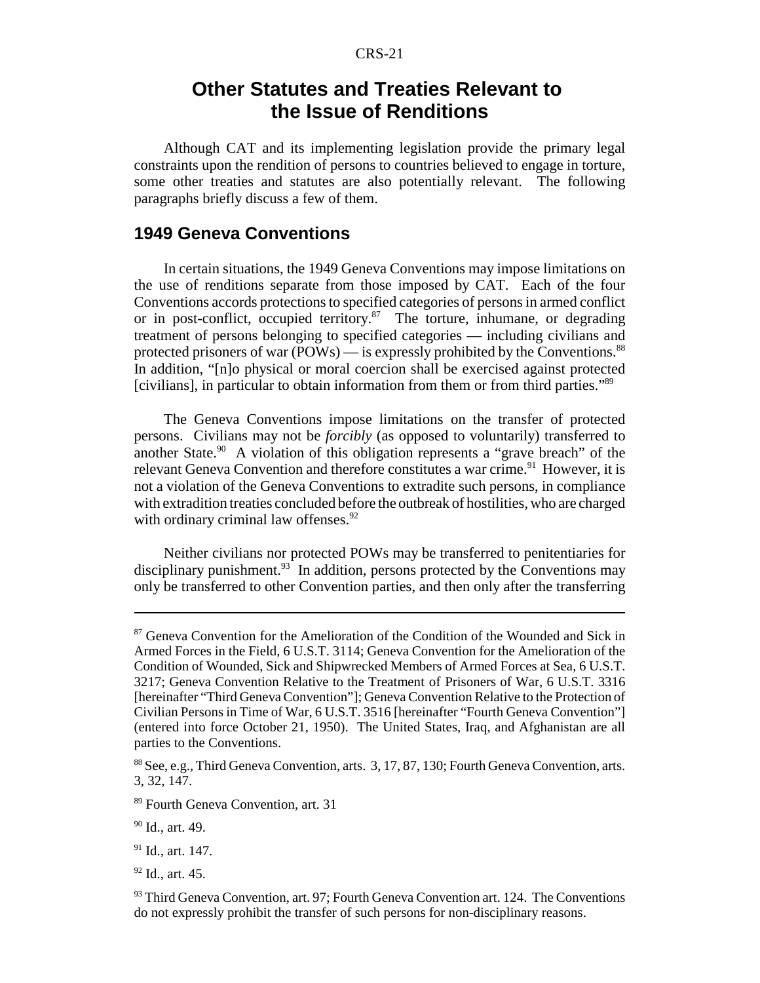## **Other Statutes and Treaties Relevant to the Issue of Renditions**

Although CAT and its implementing legislation provide the primary legal constraints upon the rendition of persons to countries believed to engage in torture, some other treaties and statutes are also potentially relevant. The following paragraphs briefly discuss a few of them.

#### **1949 Geneva Conventions**

In certain situations, the 1949 Geneva Conventions may impose limitations on the use of renditions separate from those imposed by CAT. Each of the four Conventions accords protections to specified categories of persons in armed conflict or in post-conflict, occupied territory.<sup>87</sup> The torture, inhumane, or degrading treatment of persons belonging to specified categories — including civilians and protected prisoners of war (POWs) — is expressly prohibited by the Conventions.<sup>88</sup> In addition, "[n]o physical or moral coercion shall be exercised against protected [civilians], in particular to obtain information from them or from third parties."89

The Geneva Conventions impose limitations on the transfer of protected persons. Civilians may not be *forcibly* (as opposed to voluntarily) transferred to another State. $90$  A violation of this obligation represents a "grave breach" of the relevant Geneva Convention and therefore constitutes a war crime.<sup>91</sup> However, it is not a violation of the Geneva Conventions to extradite such persons, in compliance with extradition treaties concluded before the outbreak of hostilities, who are charged with ordinary criminal law offenses. $92$ 

Neither civilians nor protected POWs may be transferred to penitentiaries for disciplinary punishment.<sup>93</sup> In addition, persons protected by the Conventions may only be transferred to other Convention parties, and then only after the transferring

92 Id., art. 45.

<sup>&</sup>lt;sup>87</sup> Geneva Convention for the Amelioration of the Condition of the Wounded and Sick in Armed Forces in the Field, 6 U.S.T. 3114; Geneva Convention for the Amelioration of the Condition of Wounded, Sick and Shipwrecked Members of Armed Forces at Sea, 6 U.S.T. 3217; Geneva Convention Relative to the Treatment of Prisoners of War, 6 U.S.T. 3316 [hereinafter "Third Geneva Convention"]; Geneva Convention Relative to the Protection of Civilian Persons in Time of War, 6 U.S.T. 3516 [hereinafter "Fourth Geneva Convention"] (entered into force October 21, 1950). The United States, Iraq, and Afghanistan are all parties to the Conventions.

<sup>88</sup> See, e.g., Third Geneva Convention, arts. 3, 17, 87, 130; Fourth Geneva Convention, arts. 3, 32, 147.

<sup>89</sup> Fourth Geneva Convention, art. 31

<sup>90</sup> Id., art. 49.

 $91$  Id., art. 147.

 $93$  Third Geneva Convention, art. 97; Fourth Geneva Convention art. 124. The Conventions do not expressly prohibit the transfer of such persons for non-disciplinary reasons.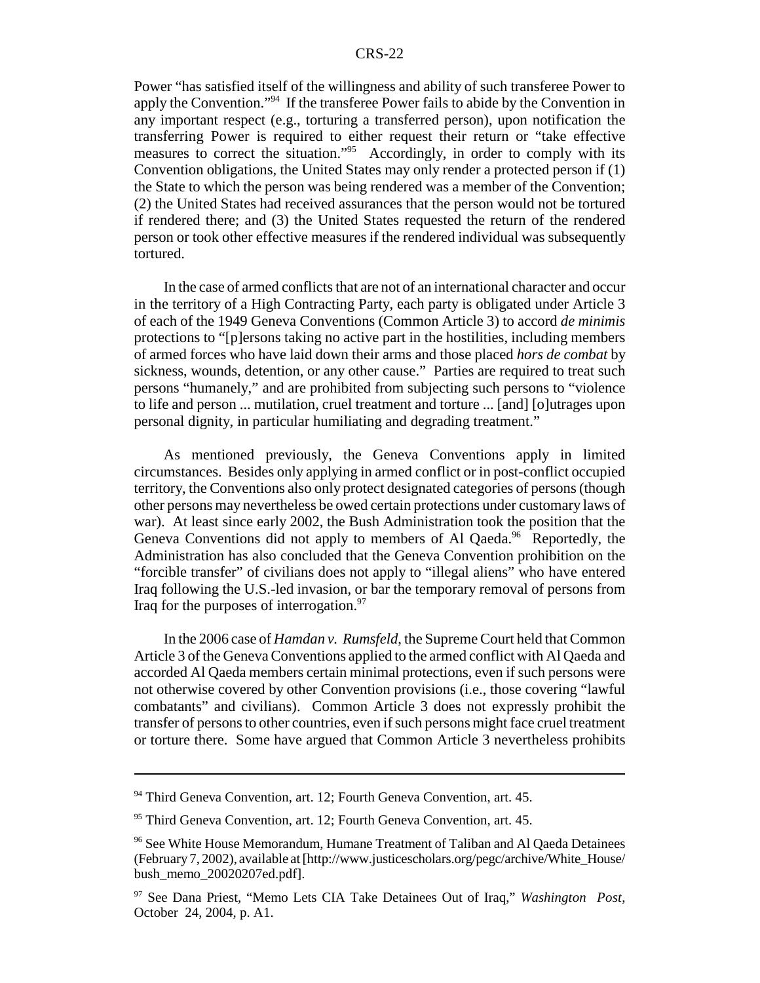Power "has satisfied itself of the willingness and ability of such transferee Power to apply the Convention."94 If the transferee Power fails to abide by the Convention in any important respect (e.g., torturing a transferred person), upon notification the transferring Power is required to either request their return or "take effective measures to correct the situation."<sup>95</sup> Accordingly, in order to comply with its Convention obligations, the United States may only render a protected person if (1) the State to which the person was being rendered was a member of the Convention; (2) the United States had received assurances that the person would not be tortured if rendered there; and (3) the United States requested the return of the rendered person or took other effective measures if the rendered individual was subsequently tortured.

In the case of armed conflicts that are not of an international character and occur in the territory of a High Contracting Party, each party is obligated under Article 3 of each of the 1949 Geneva Conventions (Common Article 3) to accord *de minimis* protections to "[p]ersons taking no active part in the hostilities, including members of armed forces who have laid down their arms and those placed *hors de combat* by sickness, wounds, detention, or any other cause." Parties are required to treat such persons "humanely," and are prohibited from subjecting such persons to "violence to life and person ... mutilation, cruel treatment and torture ... [and] [o]utrages upon personal dignity, in particular humiliating and degrading treatment."

As mentioned previously, the Geneva Conventions apply in limited circumstances. Besides only applying in armed conflict or in post-conflict occupied territory, the Conventions also only protect designated categories of persons (though other persons may nevertheless be owed certain protections under customary laws of war). At least since early 2002, the Bush Administration took the position that the Geneva Conventions did not apply to members of Al Qaeda.<sup>96</sup> Reportedly, the Administration has also concluded that the Geneva Convention prohibition on the "forcible transfer" of civilians does not apply to "illegal aliens" who have entered Iraq following the U.S.-led invasion, or bar the temporary removal of persons from Iraq for the purposes of interrogation. $97$ 

In the 2006 case of *Hamdan v. Rumsfeld*, the Supreme Court held that Common Article 3 of the Geneva Conventions applied to the armed conflict with Al Qaeda and accorded Al Qaeda members certain minimal protections, even if such persons were not otherwise covered by other Convention provisions (i.e., those covering "lawful combatants" and civilians). Common Article 3 does not expressly prohibit the transfer of persons to other countries, even if such persons might face cruel treatment or torture there. Some have argued that Common Article 3 nevertheless prohibits

<sup>&</sup>lt;sup>94</sup> Third Geneva Convention, art. 12; Fourth Geneva Convention, art. 45.

<sup>&</sup>lt;sup>95</sup> Third Geneva Convention, art. 12; Fourth Geneva Convention, art. 45.

<sup>96</sup> See White House Memorandum, Humane Treatment of Taliban and Al Qaeda Detainees (February 7, 2002), available at [http://www.justicescholars.org/pegc/archive/White\_House/ bush\_memo\_20020207ed.pdf].

<sup>97</sup> See Dana Priest, "Memo Lets CIA Take Detainees Out of Iraq," *Washington Post*, October 24, 2004, p. A1.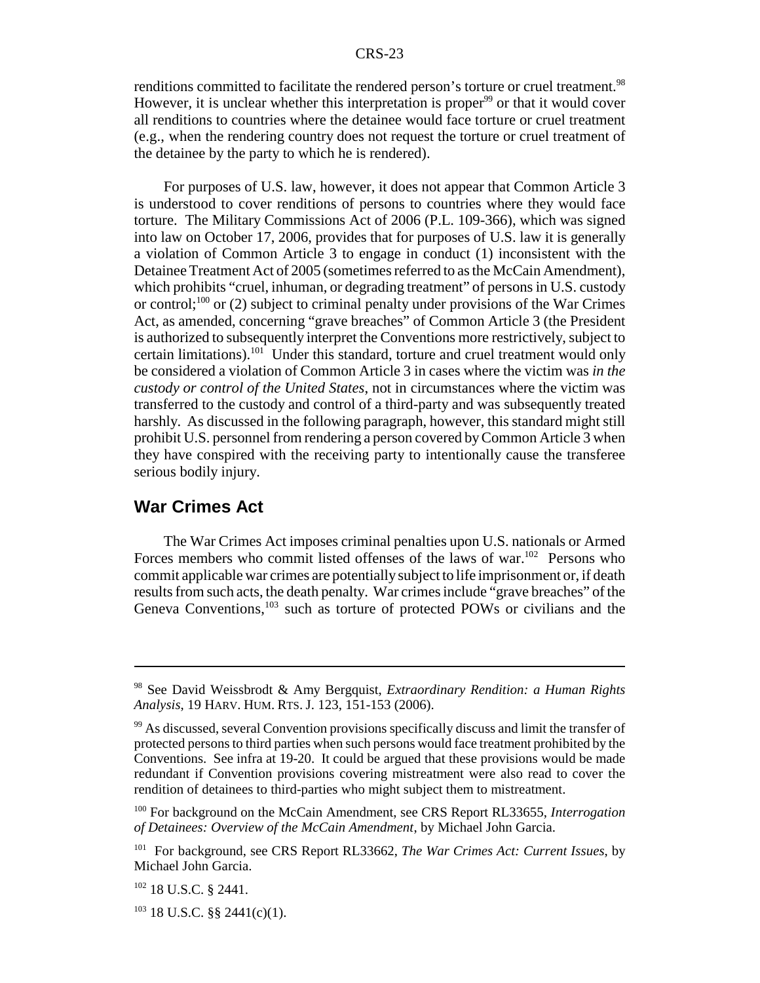renditions committed to facilitate the rendered person's torture or cruel treatment.<sup>98</sup> However, it is unclear whether this interpretation is proper<sup>99</sup> or that it would cover all renditions to countries where the detainee would face torture or cruel treatment (e.g., when the rendering country does not request the torture or cruel treatment of the detainee by the party to which he is rendered).

For purposes of U.S. law, however, it does not appear that Common Article 3 is understood to cover renditions of persons to countries where they would face torture. The Military Commissions Act of 2006 (P.L. 109-366), which was signed into law on October 17, 2006, provides that for purposes of U.S. law it is generally a violation of Common Article 3 to engage in conduct (1) inconsistent with the Detainee Treatment Act of 2005 (sometimes referred to as the McCain Amendment), which prohibits "cruel, inhuman, or degrading treatment" of persons in U.S. custody or control;<sup>100</sup> or (2) subject to criminal penalty under provisions of the War Crimes Act, as amended, concerning "grave breaches" of Common Article 3 (the President is authorized to subsequently interpret the Conventions more restrictively, subject to certain limitations).<sup>101</sup> Under this standard, torture and cruel treatment would only be considered a violation of Common Article 3 in cases where the victim was *in the custody or control of the United States*, not in circumstances where the victim was transferred to the custody and control of a third-party and was subsequently treated harshly. As discussed in the following paragraph, however, this standard might still prohibit U.S. personnel from rendering a person covered by Common Article 3 when they have conspired with the receiving party to intentionally cause the transferee serious bodily injury.

#### **War Crimes Act**

The War Crimes Act imposes criminal penalties upon U.S. nationals or Armed Forces members who commit listed offenses of the laws of war.<sup>102</sup> Persons who commit applicable war crimes are potentially subject to life imprisonment or, if death results from such acts, the death penalty. War crimes include "grave breaches" of the Geneva Conventions,<sup>103</sup> such as torture of protected POWs or civilians and the

<sup>98</sup> See David Weissbrodt & Amy Bergquist, *Extraordinary Rendition: a Human Rights Analysis*, 19 HARV. HUM. RTS. J. 123, 151-153 (2006).

 $99$  As discussed, several Convention provisions specifically discuss and limit the transfer of protected persons to third parties when such persons would face treatment prohibited by the Conventions. See infra at 19-20. It could be argued that these provisions would be made redundant if Convention provisions covering mistreatment were also read to cover the rendition of detainees to third-parties who might subject them to mistreatment.

<sup>100</sup> For background on the McCain Amendment, see CRS Report RL33655, *Interrogation of Detainees: Overview of the McCain Amendment*, by Michael John Garcia.

<sup>101</sup> For background, see CRS Report RL33662, *The War Crimes Act: Current Issues*, by Michael John Garcia.

 $102$  18 U.S.C. § 2441.

 $103$  18 U.S.C. §§ 2441(c)(1).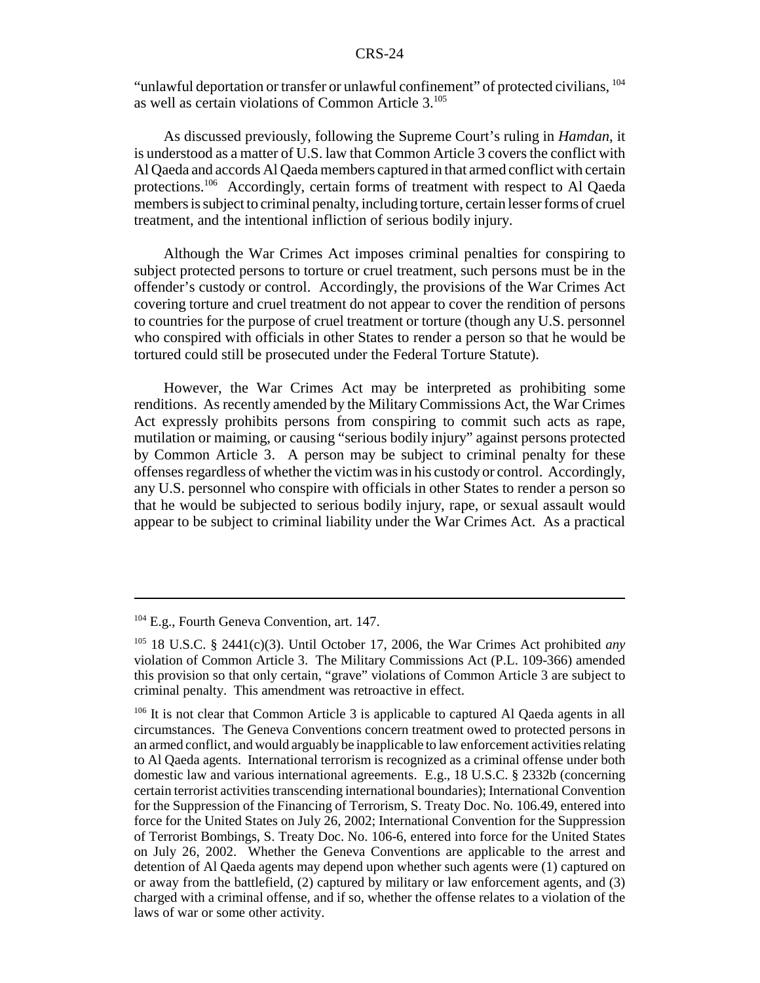"unlawful deportation or transfer or unlawful confinement" of protected civilians, 104 as well as certain violations of Common Article 3.105

As discussed previously, following the Supreme Court's ruling in *Hamdan*, it is understood as a matter of U.S. law that Common Article 3 covers the conflict with Al Qaeda and accords Al Qaeda members captured in that armed conflict with certain protections.106 Accordingly, certain forms of treatment with respect to Al Qaeda members is subject to criminal penalty, including torture, certain lesser forms of cruel treatment, and the intentional infliction of serious bodily injury.

Although the War Crimes Act imposes criminal penalties for conspiring to subject protected persons to torture or cruel treatment, such persons must be in the offender's custody or control. Accordingly, the provisions of the War Crimes Act covering torture and cruel treatment do not appear to cover the rendition of persons to countries for the purpose of cruel treatment or torture (though any U.S. personnel who conspired with officials in other States to render a person so that he would be tortured could still be prosecuted under the Federal Torture Statute).

However, the War Crimes Act may be interpreted as prohibiting some renditions. As recently amended by the Military Commissions Act, the War Crimes Act expressly prohibits persons from conspiring to commit such acts as rape, mutilation or maiming, or causing "serious bodily injury" against persons protected by Common Article 3. A person may be subject to criminal penalty for these offenses regardless of whether the victim was in his custody or control. Accordingly, any U.S. personnel who conspire with officials in other States to render a person so that he would be subjected to serious bodily injury, rape, or sexual assault would appear to be subject to criminal liability under the War Crimes Act. As a practical

<sup>&</sup>lt;sup>104</sup> E.g., Fourth Geneva Convention, art. 147.

<sup>105 18</sup> U.S.C. § 2441(c)(3). Until October 17, 2006, the War Crimes Act prohibited *any* violation of Common Article 3. The Military Commissions Act (P.L. 109-366) amended this provision so that only certain, "grave" violations of Common Article 3 are subject to criminal penalty. This amendment was retroactive in effect.

<sup>&</sup>lt;sup>106</sup> It is not clear that Common Article 3 is applicable to captured Al Qaeda agents in all circumstances.The Geneva Conventions concern treatment owed to protected persons in an armed conflict, and would arguably be inapplicable to law enforcement activities relating to Al Qaeda agents. International terrorism is recognized as a criminal offense under both domestic law and various international agreements. E.g., 18 U.S.C. § 2332b (concerning certain terrorist activities transcending international boundaries); International Convention for the Suppression of the Financing of Terrorism, S. Treaty Doc. No. 106.49, entered into force for the United States on July 26, 2002; International Convention for the Suppression of Terrorist Bombings, S. Treaty Doc. No. 106-6, entered into force for the United States on July 26, 2002. Whether the Geneva Conventions are applicable to the arrest and detention of Al Qaeda agents may depend upon whether such agents were (1) captured on or away from the battlefield, (2) captured by military or law enforcement agents, and (3) charged with a criminal offense, and if so, whether the offense relates to a violation of the laws of war or some other activity.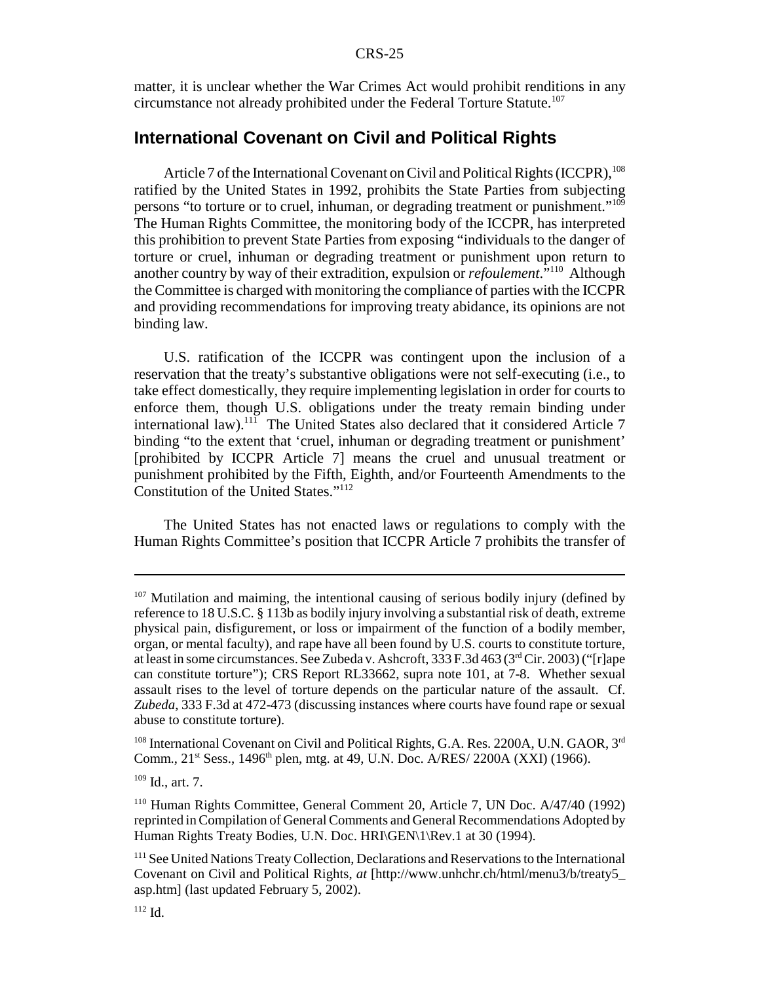matter, it is unclear whether the War Crimes Act would prohibit renditions in any circumstance not already prohibited under the Federal Torture Statute.107

#### **International Covenant on Civil and Political Rights**

Article 7 of the International Covenant on Civil and Political Rights (ICCPR).<sup>108</sup> ratified by the United States in 1992, prohibits the State Parties from subjecting persons "to torture or to cruel, inhuman, or degrading treatment or punishment."109 The Human Rights Committee, the monitoring body of the ICCPR, has interpreted this prohibition to prevent State Parties from exposing "individuals to the danger of torture or cruel, inhuman or degrading treatment or punishment upon return to another country by way of their extradition, expulsion or *refoulement*."110 Although the Committee is charged with monitoring the compliance of parties with the ICCPR and providing recommendations for improving treaty abidance, its opinions are not binding law.

U.S. ratification of the ICCPR was contingent upon the inclusion of a reservation that the treaty's substantive obligations were not self-executing (i.e., to take effect domestically, they require implementing legislation in order for courts to enforce them, though U.S. obligations under the treaty remain binding under international law).<sup>111</sup> The United States also declared that it considered Article 7 binding "to the extent that 'cruel, inhuman or degrading treatment or punishment' [prohibited by ICCPR Article 7] means the cruel and unusual treatment or punishment prohibited by the Fifth, Eighth, and/or Fourteenth Amendments to the Constitution of the United States."112

The United States has not enacted laws or regulations to comply with the Human Rights Committee's position that ICCPR Article 7 prohibits the transfer of

 $107$  Mutilation and maiming, the intentional causing of serious bodily injury (defined by reference to 18 U.S.C. § 113b as bodily injury involving a substantial risk of death, extreme physical pain, disfigurement, or loss or impairment of the function of a bodily member, organ, or mental faculty), and rape have all been found by U.S. courts to constitute torture, at least in some circumstances. See Zubeda v. Ashcroft, 333 F.3d 463 (3rd Cir. 2003) ("[r]ape can constitute torture"); CRS Report RL33662, supra note 101, at 7-8. Whether sexual assault rises to the level of torture depends on the particular nature of the assault. Cf. *Zubeda*, 333 F.3d at 472-473 (discussing instances where courts have found rape or sexual abuse to constitute torture).

 $108$  International Covenant on Civil and Political Rights, G.A. Res. 2200A, U.N. GAOR,  $3<sup>rd</sup>$ Comm., 21<sup>st</sup> Sess., 1496<sup>th</sup> plen, mtg. at 49, U.N. Doc. A/RES/ 2200A (XXI) (1966).

 $109$  Id., art. 7.

<sup>110</sup> Human Rights Committee, General Comment 20, Article 7, UN Doc. A/47/40 (1992) reprinted in Compilation of General Comments and General Recommendations Adopted by Human Rights Treaty Bodies, U.N. Doc. HRI\GEN\1\Rev.1 at 30 (1994).

<sup>&</sup>lt;sup>111</sup> See United Nations Treaty Collection, Declarations and Reservations to the International Covenant on Civil and Political Rights, *at* [http://www.unhchr.ch/html/menu3/b/treaty5\_ asp.htm] (last updated February 5, 2002).

 $112 \text{ Id}$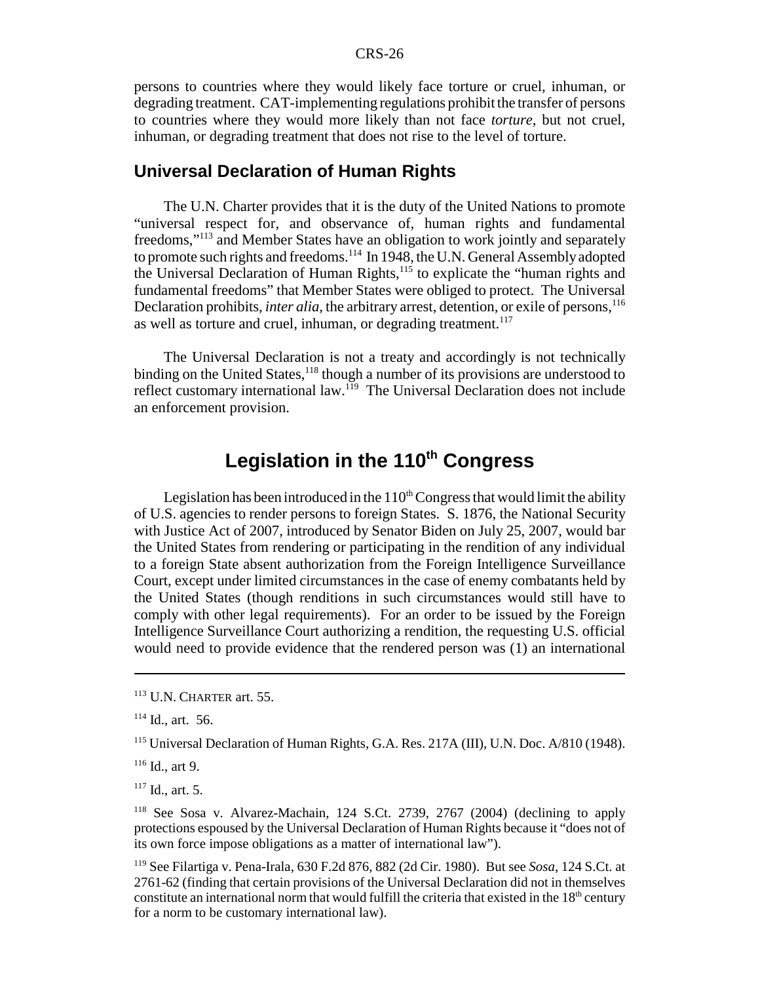persons to countries where they would likely face torture or cruel, inhuman, or degrading treatment. CAT-implementing regulations prohibit the transfer of persons to countries where they would more likely than not face *torture*, but not cruel, inhuman, or degrading treatment that does not rise to the level of torture.

#### **Universal Declaration of Human Rights**

The U.N. Charter provides that it is the duty of the United Nations to promote "universal respect for, and observance of, human rights and fundamental freedoms,"113 and Member States have an obligation to work jointly and separately to promote such rights and freedoms.<sup>114</sup> In 1948, the U.N. General Assembly adopted the Universal Declaration of Human Rights,<sup>115</sup> to explicate the "human rights and fundamental freedoms" that Member States were obliged to protect. The Universal Declaration prohibits, *inter alia*, the arbitrary arrest, detention, or exile of persons,<sup>116</sup> as well as torture and cruel, inhuman, or degrading treatment.<sup>117</sup>

The Universal Declaration is not a treaty and accordingly is not technically binding on the United States,<sup>118</sup> though a number of its provisions are understood to reflect customary international law.<sup>119</sup> The Universal Declaration does not include an enforcement provision.

## Legislation in the 110<sup>th</sup> Congress

Legislation has been introduced in the  $110<sup>th</sup> Congress$  that would limit the ability of U.S. agencies to render persons to foreign States. S. 1876, the National Security with Justice Act of 2007, introduced by Senator Biden on July 25, 2007, would bar the United States from rendering or participating in the rendition of any individual to a foreign State absent authorization from the Foreign Intelligence Surveillance Court, except under limited circumstances in the case of enemy combatants held by the United States (though renditions in such circumstances would still have to comply with other legal requirements). For an order to be issued by the Foreign Intelligence Surveillance Court authorizing a rendition, the requesting U.S. official would need to provide evidence that the rendered person was (1) an international

<sup>113</sup> U.N. CHARTER art. 55.

 $114$  Id., art. 56.

<sup>115</sup> Universal Declaration of Human Rights, G.A. Res. 217A (III), U.N. Doc. A/810 (1948).

 $116$  Id., art 9.

 $117$  Id., art. 5.

<sup>118</sup> See Sosa v. Alvarez-Machain, 124 S.Ct. 2739, 2767 (2004) (declining to apply protections espoused by the Universal Declaration of Human Rights because it "does not of its own force impose obligations as a matter of international law").

<sup>119</sup> See Filartiga v. Pena-Irala, 630 F.2d 876, 882 (2d Cir. 1980). But see *Sosa*, 124 S.Ct. at 2761-62 (finding that certain provisions of the Universal Declaration did not in themselves constitute an international norm that would fulfill the criteria that existed in the  $18<sup>th</sup>$  century for a norm to be customary international law).